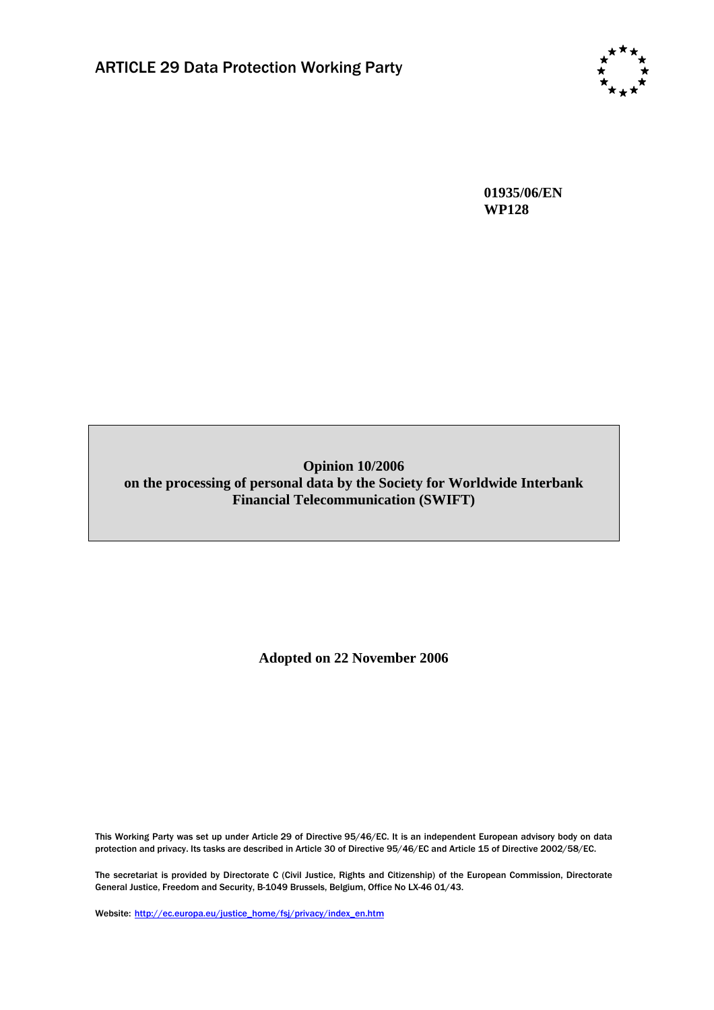

**01935/06/EN WP128** 

# **Opinion 10/2006 on the processing of personal data by the Society for Worldwide Interbank Financial Telecommunication (SWIFT)**

**Adopted on 22 November 2006** 

This Working Party was set up under Article 29 of Directive 95/46/EC. It is an independent European advisory body on data protection and privacy. Its tasks are described in Article 30 of Directive 95/46/EC and Article 15 of Directive 2002/58/EC.

The secretariat is provided by Directorate C (Civil Justice, Rights and Citizenship) of the European Commission, Directorate General Justice, Freedom and Security, B-1049 Brussels, Belgium, Office No LX-46 01/43.

Website: http://ec.europa.eu/justice\_home/fsj/privacy/index\_en.htm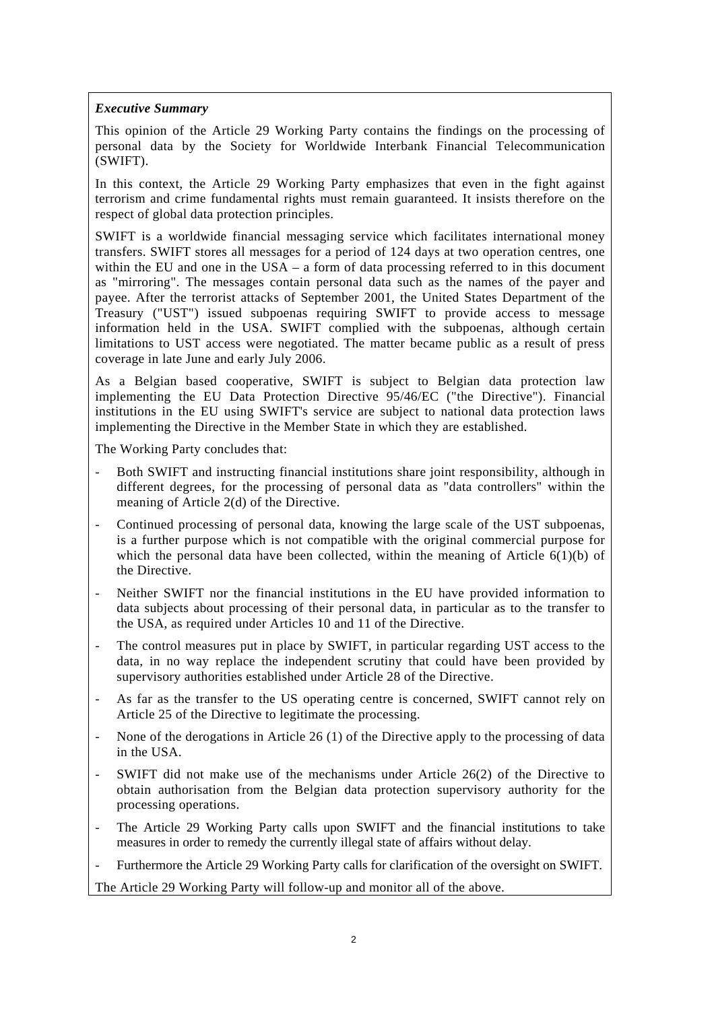#### *Executive Summary*

This opinion of the Article 29 Working Party contains the findings on the processing of personal data by the Society for Worldwide Interbank Financial Telecommunication (SWIFT).

In this context, the Article 29 Working Party emphasizes that even in the fight against terrorism and crime fundamental rights must remain guaranteed. It insists therefore on the respect of global data protection principles.

SWIFT is a worldwide financial messaging service which facilitates international money transfers. SWIFT stores all messages for a period of 124 days at two operation centres, one within the EU and one in the USA – a form of data processing referred to in this document as "mirroring". The messages contain personal data such as the names of the payer and payee. After the terrorist attacks of September 2001, the United States Department of the Treasury ("UST") issued subpoenas requiring SWIFT to provide access to message information held in the USA. SWIFT complied with the subpoenas, although certain limitations to UST access were negotiated. The matter became public as a result of press coverage in late June and early July 2006.

As a Belgian based cooperative, SWIFT is subject to Belgian data protection law implementing the EU Data Protection Directive 95/46/EC ("the Directive"). Financial institutions in the EU using SWIFT's service are subject to national data protection laws implementing the Directive in the Member State in which they are established.

The Working Party concludes that:

- Both SWIFT and instructing financial institutions share joint responsibility, although in different degrees, for the processing of personal data as "data controllers" within the meaning of Article 2(d) of the Directive.
- Continued processing of personal data, knowing the large scale of the UST subpoenas, is a further purpose which is not compatible with the original commercial purpose for which the personal data have been collected, within the meaning of Article  $6(1)(b)$  of the Directive.
- Neither SWIFT nor the financial institutions in the EU have provided information to data subjects about processing of their personal data, in particular as to the transfer to the USA, as required under Articles 10 and 11 of the Directive.
- The control measures put in place by SWIFT, in particular regarding UST access to the data, in no way replace the independent scrutiny that could have been provided by supervisory authorities established under Article 28 of the Directive.
- As far as the transfer to the US operating centre is concerned, SWIFT cannot rely on Article 25 of the Directive to legitimate the processing.
- None of the derogations in Article 26 (1) of the Directive apply to the processing of data in the USA.
- SWIFT did not make use of the mechanisms under Article 26(2) of the Directive to obtain authorisation from the Belgian data protection supervisory authority for the processing operations.
- The Article 29 Working Party calls upon SWIFT and the financial institutions to take measures in order to remedy the currently illegal state of affairs without delay.
- Furthermore the Article 29 Working Party calls for clarification of the oversight on SWIFT.

The Article 29 Working Party will follow-up and monitor all of the above.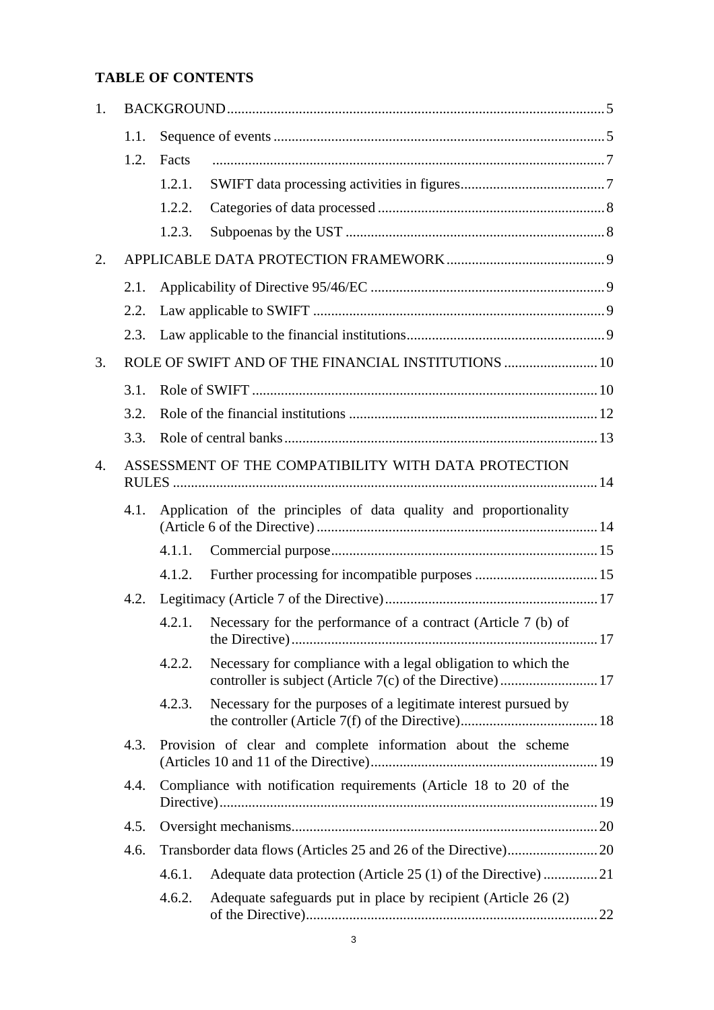# **TABLE OF CONTENTS**

| 1.               |                                                     |                                                                    |                                                                |  |  |  |
|------------------|-----------------------------------------------------|--------------------------------------------------------------------|----------------------------------------------------------------|--|--|--|
|                  | 1.1.                                                |                                                                    |                                                                |  |  |  |
|                  | 1.2.                                                | Facts                                                              |                                                                |  |  |  |
|                  |                                                     | 1.2.1.                                                             |                                                                |  |  |  |
|                  |                                                     | 1.2.2.                                                             |                                                                |  |  |  |
|                  |                                                     | 1.2.3.                                                             |                                                                |  |  |  |
| 2.               |                                                     |                                                                    |                                                                |  |  |  |
|                  | 2.1.                                                |                                                                    |                                                                |  |  |  |
|                  | 2.2.                                                |                                                                    |                                                                |  |  |  |
|                  | 2.3.                                                |                                                                    |                                                                |  |  |  |
| 3.               | ROLE OF SWIFT AND OF THE FINANCIAL INSTITUTIONS  10 |                                                                    |                                                                |  |  |  |
|                  | 3.1.                                                |                                                                    |                                                                |  |  |  |
|                  | 3.2.                                                |                                                                    |                                                                |  |  |  |
|                  | 3.3.                                                |                                                                    |                                                                |  |  |  |
| $\overline{4}$ . |                                                     | ASSESSMENT OF THE COMPATIBILITY WITH DATA PROTECTION               |                                                                |  |  |  |
|                  | 4.1.                                                | Application of the principles of data quality and proportionality  |                                                                |  |  |  |
|                  |                                                     | 4.1.1.                                                             |                                                                |  |  |  |
|                  |                                                     | 4.1.2.                                                             |                                                                |  |  |  |
|                  | 4.2.                                                |                                                                    |                                                                |  |  |  |
|                  |                                                     | 4.2.1.                                                             | Necessary for the performance of a contract (Article 7 (b) of  |  |  |  |
|                  |                                                     | 4.2.2.                                                             | Necessary for compliance with a legal obligation to which the  |  |  |  |
|                  |                                                     | 4.2.3.                                                             | Necessary for the purposes of a legitimate interest pursued by |  |  |  |
|                  | 4.3.                                                | Provision of clear and complete information about the scheme       |                                                                |  |  |  |
|                  | 4.4.                                                | Compliance with notification requirements (Article 18 to 20 of the |                                                                |  |  |  |
|                  | 4.5.                                                |                                                                    |                                                                |  |  |  |
|                  | 4.6.                                                |                                                                    |                                                                |  |  |  |
|                  |                                                     | 4.6.1.                                                             |                                                                |  |  |  |
|                  |                                                     | 4.6.2.                                                             | Adequate safeguards put in place by recipient (Article 26 (2)  |  |  |  |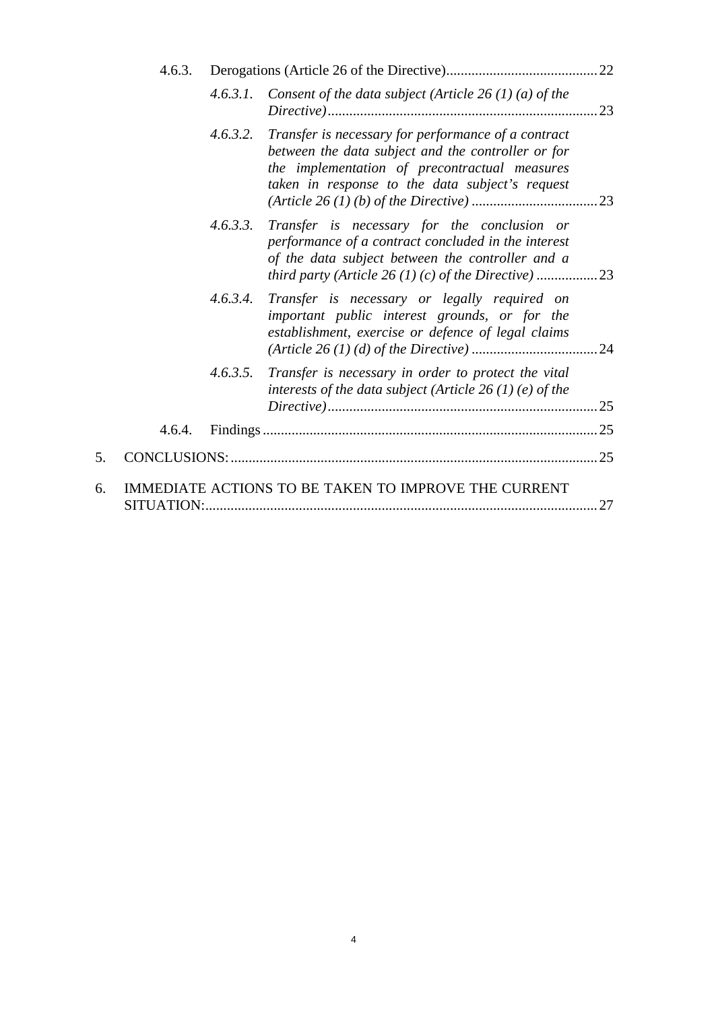|    | 4.6.3. |          |                                                                                                                                                                                                               |      |  |
|----|--------|----------|---------------------------------------------------------------------------------------------------------------------------------------------------------------------------------------------------------------|------|--|
|    |        | 4.6.3.1. | Consent of the data subject (Article 26 (1) (a) of the                                                                                                                                                        | .23  |  |
|    |        | 4.6.3.2. | Transfer is necessary for performance of a contract<br>between the data subject and the controller or for<br>the implementation of precontractual measures<br>taken in response to the data subject's request |      |  |
|    |        | 4.6.3.3. | Transfer is necessary for the conclusion or<br>performance of a contract concluded in the interest<br>of the data subject between the controller and a                                                        |      |  |
|    |        | 4.6.3.4. | Transfer is necessary or legally required on<br>important public interest grounds, or for the<br>establishment, exercise or defence of legal claims                                                           |      |  |
|    |        | 4.6.3.5. | Transfer is necessary in order to protect the vital<br>interests of the data subject (Article 26(1)(e) of the                                                                                                 |      |  |
|    | 4.6.4. |          |                                                                                                                                                                                                               |      |  |
| 5. |        |          |                                                                                                                                                                                                               |      |  |
| 6. |        |          | IMMEDIATE ACTIONS TO BE TAKEN TO IMPROVE THE CURRENT                                                                                                                                                          | . 27 |  |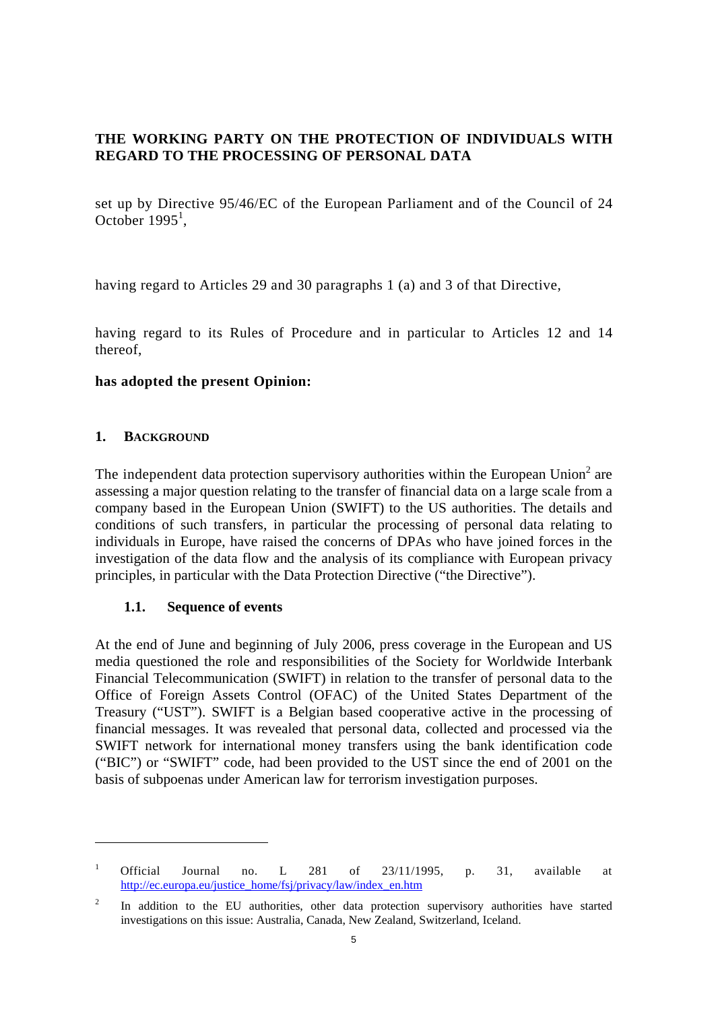# **THE WORKING PARTY ON THE PROTECTION OF INDIVIDUALS WITH REGARD TO THE PROCESSING OF PERSONAL DATA**

set up by Directive 95/46/EC of the European Parliament and of the Council of 24 October  $1995<sup>1</sup>$ ,

having regard to Articles 29 and 30 paragraphs 1 (a) and 3 of that Directive,

having regard to its Rules of Procedure and in particular to Articles 12 and 14 thereof,

#### **has adopted the present Opinion:**

#### <span id="page-4-0"></span>**1. BACKGROUND**

 $\overline{a}$ 

The independent data protection supervisory authorities within the European Union<sup>2</sup> are assessing a major question relating to the transfer of financial data on a large scale from a company based in the European Union (SWIFT) to the US authorities. The details and conditions of such transfers, in particular the processing of personal data relating to individuals in Europe, have raised the concerns of DPAs who have joined forces in the investigation of the data flow and the analysis of its compliance with European privacy principles, in particular with the Data Protection Directive ("the Directive").

## **1.1. Sequence of events**

<span id="page-4-1"></span>At the end of June and beginning of July 2006, press coverage in the European and US media questioned the role and responsibilities of the Society for Worldwide Interbank Financial Telecommunication (SWIFT) in relation to the transfer of personal data to the Office of Foreign Assets Control (OFAC) of the United States Department of the Treasury ("UST"). SWIFT is a Belgian based cooperative active in the processing of financial messages. It was revealed that personal data, collected and processed via the SWIFT network for international money transfers using the bank identification code ("BIC") or "SWIFT" code, had been provided to the UST since the end of 2001 on the basis of subpoenas under American law for terrorism investigation purposes.

<sup>1</sup> Official Journal no. L 281 of 23/11/1995, p. 31, available at [http://ec.europa.eu/justice\\_home/fsj/privacy/law/index\\_en.htm](http://ec.europa.eu/justice_home/fsj/privacy/law/index_en.htm) 

<sup>2</sup> In addition to the EU authorities, other data protection supervisory authorities have started investigations on this issue: Australia, Canada, New Zealand, Switzerland, Iceland.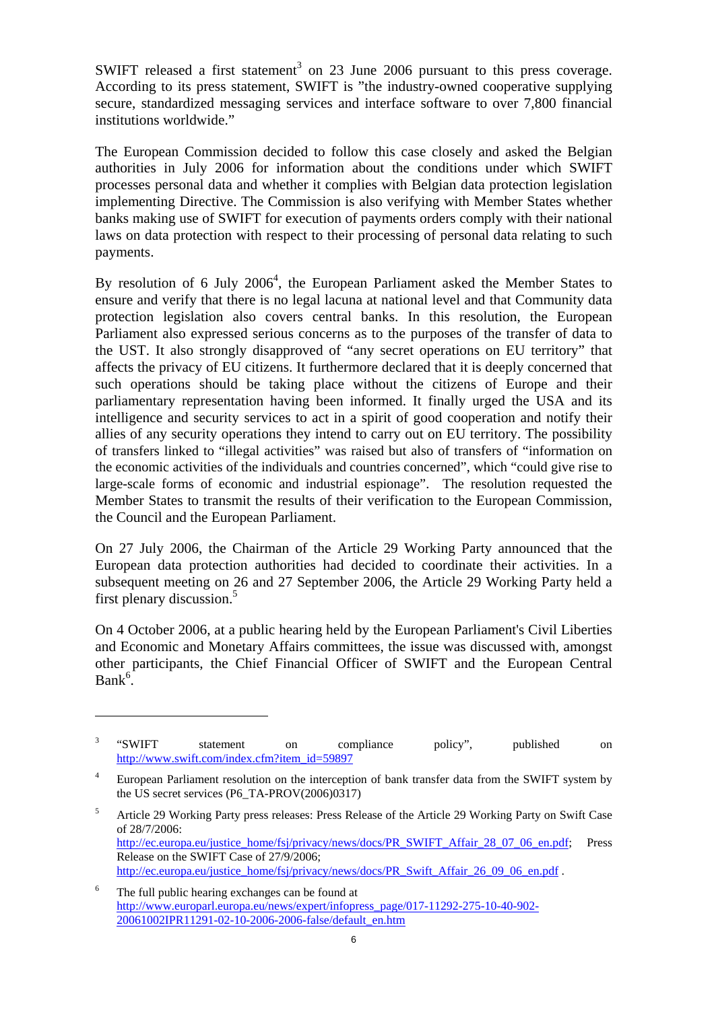SWIFT released a first statement<sup>3</sup> on 23 June 2006 pursuant to this press coverage. According to its press statement, SWIFT is "the industry-owned cooperative supplying secure, standardized messaging services and interface software to over 7,800 financial institutions worldwide."

The European Commission decided to follow this case closely and asked the Belgian authorities in July 2006 for information about the conditions under which SWIFT processes personal data and whether it complies with Belgian data protection legislation implementing Directive. The Commission is also verifying with Member States whether banks making use of SWIFT for execution of payments orders comply with their national laws on data protection with respect to their processing of personal data relating to such payments.

By resolution of 6 July  $2006<sup>4</sup>$ , the European Parliament asked the Member States to ensure and verify that there is no legal lacuna at national level and that Community data protection legislation also covers central banks. In this resolution, the European Parliament also expressed serious concerns as to the purposes of the transfer of data to the UST. It also strongly disapproved of "any secret operations on EU territory" that affects the privacy of EU citizens. It furthermore declared that it is deeply concerned that such operations should be taking place without the citizens of Europe and their parliamentary representation having been informed. It finally urged the USA and its intelligence and security services to act in a spirit of good cooperation and notify their allies of any security operations they intend to carry out on EU territory. The possibility of transfers linked to "illegal activities" was raised but also of transfers of "information on the economic activities of the individuals and countries concerned", which "could give rise to large-scale forms of economic and industrial espionage". The resolution requested the Member States to transmit the results of their verification to the European Commission, the Council and the European Parliament.

On 27 July 2006, the Chairman of the Article 29 Working Party announced that the European data protection authorities had decided to coordinate their activities. In a subsequent meeting on 26 and 27 September 2006, the Article 29 Working Party held a first plenary discussion.<sup>5</sup>

On 4 October 2006, at a public hearing held by the European Parliament's Civil Liberties and Economic and Monetary Affairs committees, the issue was discussed with, amongst other participants, the Chief Financial Officer of SWIFT and the European Central  $Bank<sup>6</sup>$ .

5 Article 29 Working Party press releases: Press Release of the Article 29 Working Party on Swift Case of 28/7/2006: [http://ec.europa.eu/justice\\_home/fsj/privacy/news/docs/PR\\_SWIFT\\_Affair\\_28\\_07\\_06\\_en.pdf;](http://ec.europa.eu/justice_home/fsj/privacy/news/docs/PR_Swift_Affair_28_07_06_en.pdf) Press Release on the SWIFT Case of 27/9/2006; [http://ec.europa.eu/justice\\_home/fsj/privacy/news/docs/PR\\_Swift\\_Affair\\_26\\_09\\_06\\_en.pdf](http://ec.europa.eu/justice_home/fsj/privacy/news/docs/PR_Swift_Affair_26_09_06_en.pdf) .

<sup>3</sup> "SWIFT statement on compliance policy", published on [http://www.swift.com/index.cfm?item\\_id=59897](http://www.swift.com/index.cfm?item_id=59897) 

<sup>4</sup> European Parliament resolution on the interception of bank transfer data from the SWIFT system by the US secret services (P6\_TA-PROV(2006)0317)

<sup>6</sup> The full public hearing exchanges can be found at [http://www.europarl.europa.eu/news/expert/infopress\\_page/017-11292-275-10-40-902-](http://www.europarl.europa.eu/news/expert/infopress_page/017-11292-275-10-40-902-20061002IPR11291-02-10-2006-2006-false/default_en.htm) [20061002IPR11291-02-10-2006-2006-false/default\\_en.htm](http://www.europarl.europa.eu/news/expert/infopress_page/017-11292-275-10-40-902-20061002IPR11291-02-10-2006-2006-false/default_en.htm)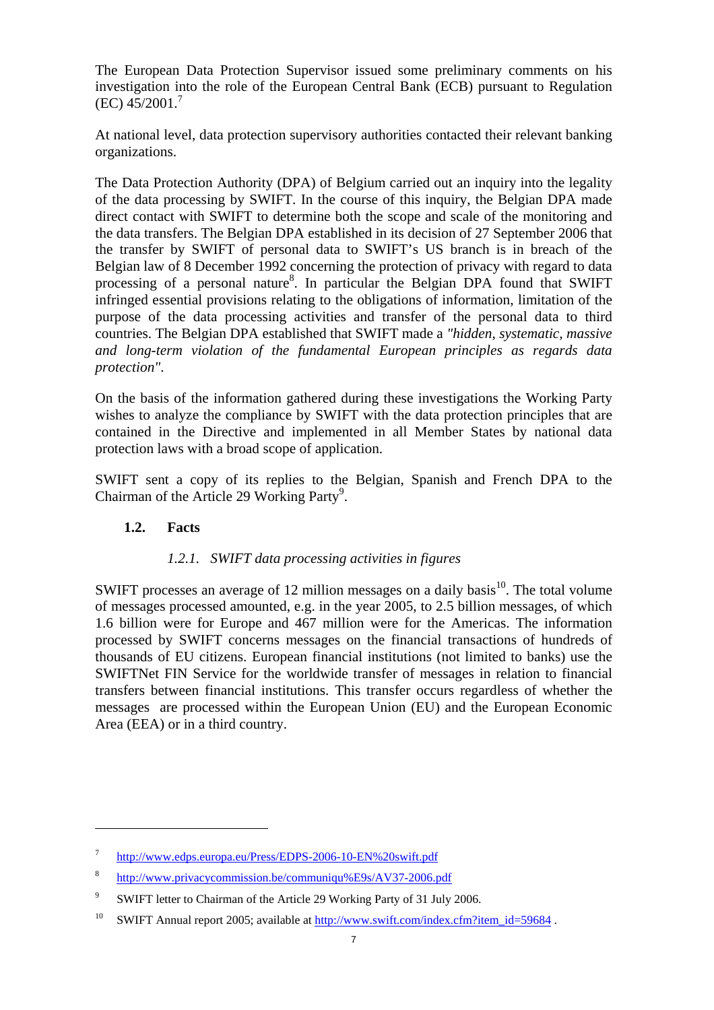The European Data Protection Supervisor issued some preliminary comments on his investigation into the role of the European Central Bank (ECB) pursuant to Regulation  $(EC)$  45/2001.<sup>7</sup>

At national level, data protection supervisory authorities contacted their relevant banking organizations.

The Data Protection Authority (DPA) of Belgium carried out an inquiry into the legality of the data processing by SWIFT. In the course of this inquiry, the Belgian DPA made direct contact with SWIFT to determine both the scope and scale of the monitoring and the data transfers. The Belgian DPA established in its decision of 27 September 2006 that the transfer by SWIFT of personal data to SWIFT's US branch is in breach of the Belgian law of 8 December 1992 concerning the protection of privacy with regard to data processing of a personal nature<sup>8</sup>. In particular the Belgian DPA found that SWIFT infringed essential provisions relating to the obligations of information, limitation of the purpose of the data processing activities and transfer of the personal data to third countries. The Belgian DPA established that SWIFT made a *"hidden, systematic, massive and long-term violation of the fundamental European principles as regards data protection"*.

On the basis of the information gathered during these investigations the Working Party wishes to analyze the compliance by SWIFT with the data protection principles that are contained in the Directive and implemented in all Member States by national data protection laws with a broad scope of application.

<span id="page-6-0"></span>SWIFT sent a copy of its replies to the Belgian, Spanish and French DPA to the Chairman of the Article 29 Working Party<sup>9</sup>.

## **1.2. Facts**

 $\overline{a}$ 

## *1.2.1. SWIFT data processing activities in figures*

<span id="page-6-1"></span>SWIFT processes an average of 12 million messages on a daily basis<sup>10</sup>. The total volume of messages processed amounted, e.g. in the year 2005, to 2.5 billion messages, of which 1.6 billion were for Europe and 467 million were for the Americas. The information processed by SWIFT concerns messages on the financial transactions of hundreds of thousands of EU citizens. European financial institutions (not limited to banks) use the SWIFTNet FIN Service for the worldwide transfer of messages in relation to financial transfers between financial institutions. This transfer occurs regardless of whether the messages are processed within the European Union (EU) and the European Economic Area (EEA) or in a third country.

<sup>7</sup> [http://www.edps.europa.eu/Press/EDPS-2006-10-EN%20swift.pdf](http://www.edps.europa.eu/Press/EDPS-2006-10-EN swift.pdf)

<sup>8</sup> <http://www.privacycommission.be/communiqu%E9s/AV37-2006.pdf>

<sup>9</sup> SWIFT letter to Chairman of the Article 29 Working Party of 31 July 2006.

<sup>&</sup>lt;sup>10</sup> SWIFT Annual report 2005; available at http://www.swift.com/index.cfm?item\_id=59684.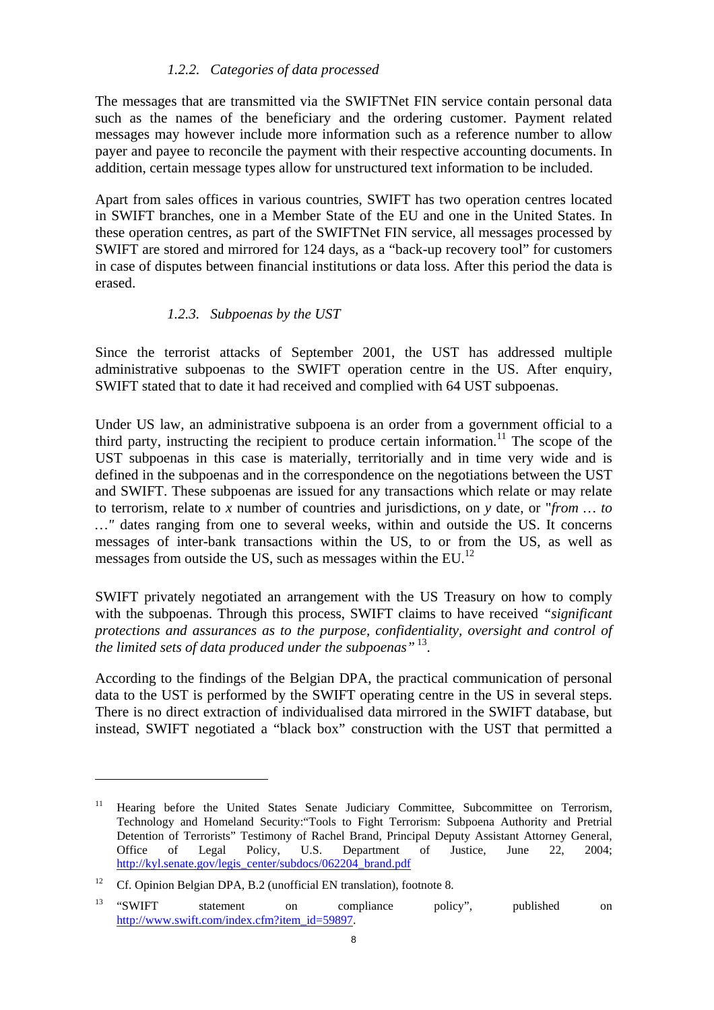## *1.2.2. Categories of data processed*

The messages that are transmitted via the SWIFTNet FIN service contain personal data such as the names of the beneficiary and the ordering customer. Payment related messages may however include more information such as a reference number to allow payer and payee to reconcile the payment with their respective accounting documents. In addition, certain message types allow for unstructured text information to be included.

Apart from sales offices in various countries, SWIFT has two operation centres located in SWIFT branches, one in a Member State of the EU and one in the United States. In these operation centres, as part of the SWIFTNet FIN service, all messages processed by SWIFT are stored and mirrored for 124 days, as a "back-up recovery tool" for customers in case of disputes between financial institutions or data loss. After this period the data is erased.

## *1.2.3. Subpoenas by the UST*

<span id="page-7-1"></span>Since the terrorist attacks of September 2001, the UST has addressed multiple administrative subpoenas to the SWIFT operation centre in the US. After enquiry, SWIFT stated that to date it had received and complied with 64 UST subpoenas.

Under US law, an administrative subpoena is an order from a government official to a third party, instructing the recipient to produce certain information.<sup>11</sup> The scope of the UST subpoenas in this case is materially, territorially and in time very wide and is defined in the subpoenas and in the correspondence on the negotiations between the UST and SWIFT. These subpoenas are issued for any transactions which relate or may relate to terrorism, relate to *x* number of countries and jurisdictions, on *y* date, or "*from … to …"* dates ranging from one to several weeks, within and outside the US. It concerns messages of inter-bank transactions within the US, to or from the US, as well as messages from outside the US, such as messages within the EU.<sup>12</sup>

SWIFT privately negotiated an arrangement with the US Treasury on how to comply with the subpoenas. Through this process, SWIFT claims to have received *"significant protections and assurances as to the purpose, confidentiality, oversight and control of the limited sets of data produced under the subpoenas"* 13.

<span id="page-7-0"></span>According to the findings of the Belgian DPA, the practical communication of personal data to the UST is performed by the SWIFT operating centre in the US in several steps. There is no direct extraction of individualised data mirrored in the SWIFT database, but instead, SWIFT negotiated a "black box" construction with the UST that permitted a

<sup>11</sup> Hearing before the United States Senate Judiciary Committee, Subcommittee on Terrorism, Technology and Homeland Security:"Tools to Fight Terrorism: Subpoena Authority and Pretrial Detention of Terrorists" Testimony of Rachel Brand, Principal Deputy Assistant Attorney General, Office of Legal Policy, U.S. Department of Justice, June 22, 2004; [http://kyl.senate.gov/legis\\_center/subdocs/062204\\_brand.pdf](http://kyl.senate.gov/legis_center/subdocs/062204_brand.pdf) 

<sup>&</sup>lt;sup>12</sup> Cf. Opinion Belgian DPA, B.2 (unofficial EN translation), footnote 8.

<sup>&</sup>lt;sup>13</sup> "SWIFT statement on compliance policy", published on [http://www.swift.com/index.cfm?item\\_id=59897.](http://www.swift.com/index.cfm?item_id=59897)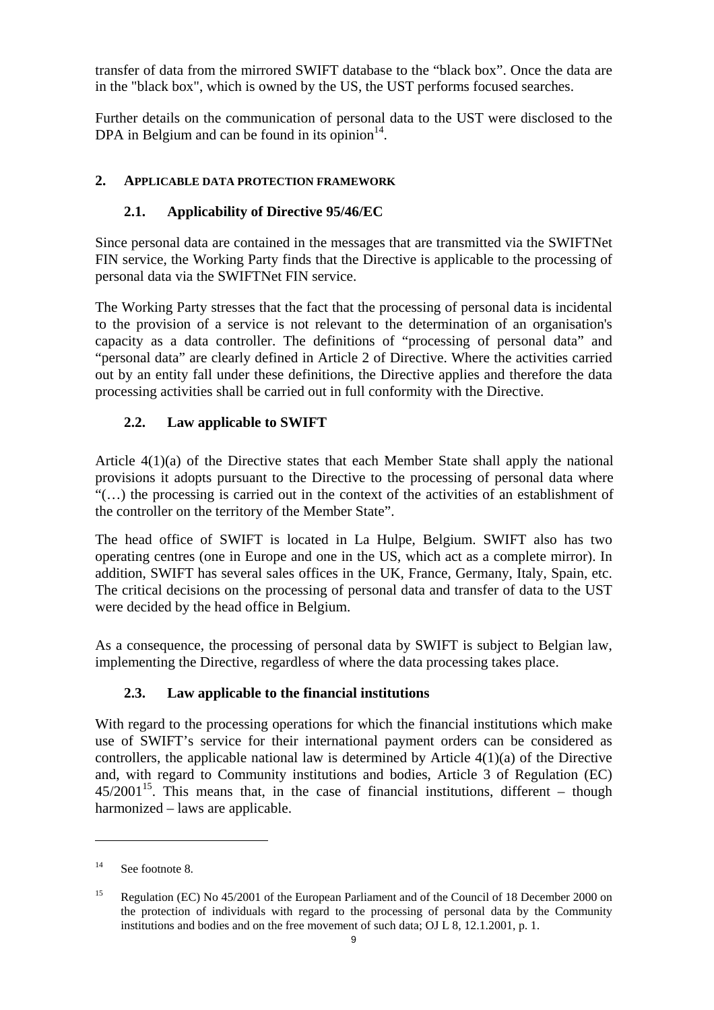transfer of data from the mirrored SWIFT database to the "black box". Once the data are in the "black box", which is owned by the US, the UST performs focused searches.

Further details on the communication of personal data to the UST were disclosed to the DPA in Belgium and can be found in its opinion $14$ .

# <span id="page-8-1"></span><span id="page-8-0"></span>**2. APPLICABLE DATA PROTECTION FRAMEWORK**

# **2.1. Applicability of Directive 95/46/EC**

Since personal data are contained in the messages that are transmitted via the SWIFTNet FIN service, the Working Party finds that the Directive is applicable to the processing of personal data via the SWIFTNet FIN service.

The Working Party stresses that the fact that the processing of personal data is incidental to the provision of a service is not relevant to the determination of an organisation's capacity as a data controller. The definitions of "processing of personal data" and "personal data" are clearly defined in Article 2 of Directive. Where the activities carried out by an entity fall under these definitions, the Directive applies and therefore the data processing activities shall be carried out in full conformity with the Directive.

# **2.2. Law applicable to SWIFT**

<span id="page-8-2"></span>Article 4(1)(a) of the Directive states that each Member State shall apply the national provisions it adopts pursuant to the Directive to the processing of personal data where "(…) the processing is carried out in the context of the activities of an establishment of the controller on the territory of the Member State".

The head office of SWIFT is located in La Hulpe, Belgium. SWIFT also has two operating centres (one in Europe and one in the US, which act as a complete mirror). In addition, SWIFT has several sales offices in the UK, France, Germany, Italy, Spain, etc. The critical decisions on the processing of personal data and transfer of data to the UST were decided by the head office in Belgium.

<span id="page-8-3"></span>As a consequence, the processing of personal data by SWIFT is subject to Belgian law, implementing the Directive, regardless of where the data processing takes place.

# **2.3. Law applicable to the financial institutions**

With regard to the processing operations for which the financial institutions which make use of SWIFT's service for their international payment orders can be considered as controllers, the applicable national law is determined by Article 4(1)(a) of the Directive and, with regard to Community institutions and bodies, Article 3 of Regulation (EC)  $45/2001^{15}$ . This means that, in the case of financial institutions, different – though harmonized – laws are applicable.

<sup>&</sup>lt;sup>14</sup> See footnote 8.

<sup>&</sup>lt;sup>15</sup> Regulation (EC) No 45/2001 of the European Parliament and of the Council of 18 December 2000 on the protection of individuals with regard to the processing of personal data by the Community institutions and bodies and on the free movement of such data; OJ L 8, 12.1.2001, p. 1.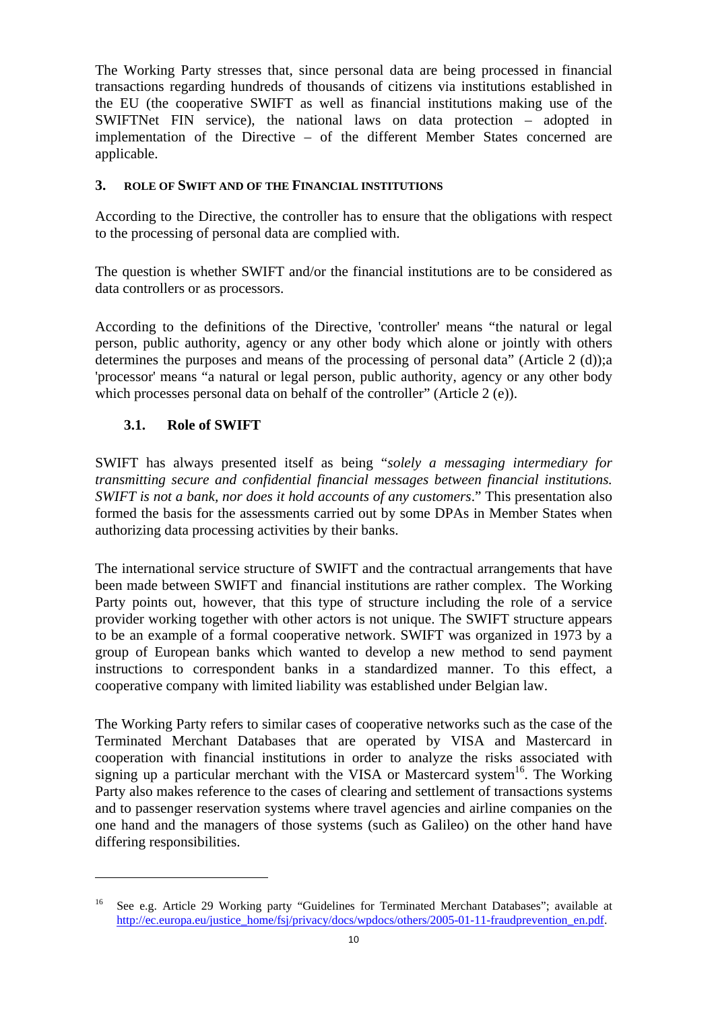The Working Party stresses that, since personal data are being processed in financial transactions regarding hundreds of thousands of citizens via institutions established in the EU (the cooperative SWIFT as well as financial institutions making use of the SWIFTNet FIN service), the national laws on data protection – adopted in implementation of the Directive – of the different Member States concerned are applicable.

#### <span id="page-9-0"></span>**3. ROLE OF SWIFT AND OF THE FINANCIAL INSTITUTIONS**

According to the Directive, the controller has to ensure that the obligations with respect to the processing of personal data are complied with.

The question is whether SWIFT and/or the financial institutions are to be considered as data controllers or as processors.

According to the definitions of the Directive, 'controller' means "the natural or legal person, public authority, agency or any other body which alone or jointly with others determines the purposes and means of the processing of personal data" (Article 2 (d));a 'processor' means "a natural or legal person, public authority, agency or any other body which processes personal data on behalf of the controller" (Article 2 (e)).

## **3.1. Role of SWIFT**

 $\overline{a}$ 

<span id="page-9-1"></span>SWIFT has always presented itself as being "*solely a messaging intermediary for transmitting secure and confidential financial messages between financial institutions. SWIFT is not a bank, nor does it hold accounts of any customers*." This presentation also formed the basis for the assessments carried out by some DPAs in Member States when authorizing data processing activities by their banks.

The international service structure of SWIFT and the contractual arrangements that have been made between SWIFT and financial institutions are rather complex. The Working Party points out, however, that this type of structure including the role of a service provider working together with other actors is not unique. The SWIFT structure appears to be an example of a formal cooperative network. SWIFT was organized in 1973 by a group of European banks which wanted to develop a new method to send payment instructions to correspondent banks in a standardized manner. To this effect, a cooperative company with limited liability was established under Belgian law.

The Working Party refers to similar cases of cooperative networks such as the case of the Terminated Merchant Databases that are operated by VISA and Mastercard in cooperation with financial institutions in order to analyze the risks associated with signing up a particular merchant with the VISA or Mastercard system<sup>16</sup>. The Working Party also makes reference to the cases of clearing and settlement of transactions systems and to passenger reservation systems where travel agencies and airline companies on the one hand and the managers of those systems (such as Galileo) on the other hand have differing responsibilities.

<sup>&</sup>lt;sup>16</sup> See e.g. Article 29 Working party "Guidelines for Terminated Merchant Databases"; available at [http://ec.europa.eu/justice\\_home/fsj/privacy/docs/wpdocs/others/2005-01-11-fraudprevention\\_en.pdf.](http://ec.europa.eu/justice_home/fsj/privacy/docs/wpdocs/others/2005-01-11-fraudprevention_en.pdf)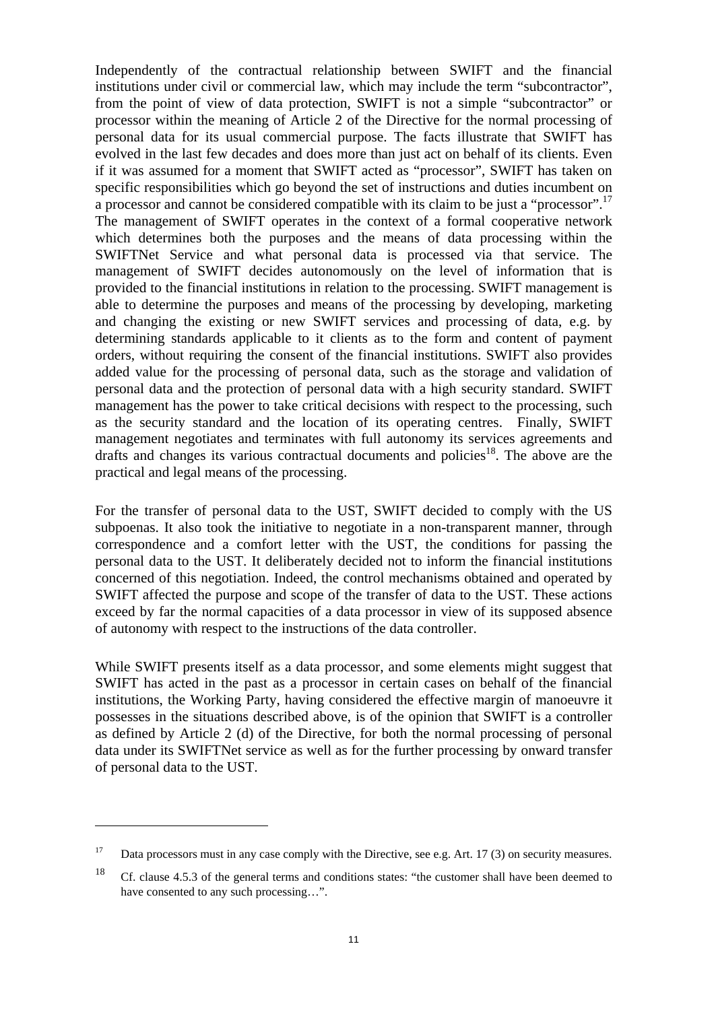Independently of the contractual relationship between SWIFT and the financial institutions under civil or commercial law, which may include the term "subcontractor", from the point of view of data protection, SWIFT is not a simple "subcontractor" or processor within the meaning of Article 2 of the Directive for the normal processing of personal data for its usual commercial purpose. The facts illustrate that SWIFT has evolved in the last few decades and does more than just act on behalf of its clients. Even if it was assumed for a moment that SWIFT acted as "processor", SWIFT has taken on specific responsibilities which go beyond the set of instructions and duties incumbent on a processor and cannot be considered compatible with its claim to be just a "processor".<sup>17</sup> The management of SWIFT operates in the context of a formal cooperative network which determines both the purposes and the means of data processing within the SWIFTNet Service and what personal data is processed via that service. The management of SWIFT decides autonomously on the level of information that is provided to the financial institutions in relation to the processing. SWIFT management is able to determine the purposes and means of the processing by developing, marketing and changing the existing or new SWIFT services and processing of data, e.g. by determining standards applicable to it clients as to the form and content of payment orders, without requiring the consent of the financial institutions. SWIFT also provides added value for the processing of personal data, such as the storage and validation of personal data and the protection of personal data with a high security standard. SWIFT management has the power to take critical decisions with respect to the processing, such as the security standard and the location of its operating centres. Finally, SWIFT management negotiates and terminates with full autonomy its services agreements and drafts and changes its various contractual documents and policies<sup>18</sup>. The above are the practical and legal means of the processing.

For the transfer of personal data to the UST, SWIFT decided to comply with the US subpoenas. It also took the initiative to negotiate in a non-transparent manner, through correspondence and a comfort letter with the UST, the conditions for passing the personal data to the UST. It deliberately decided not to inform the financial institutions concerned of this negotiation. Indeed, the control mechanisms obtained and operated by SWIFT affected the purpose and scope of the transfer of data to the UST*.* These actions exceed by far the normal capacities of a data processor in view of its supposed absence of autonomy with respect to the instructions of the data controller.

While SWIFT presents itself as a data processor, and some elements might suggest that SWIFT has acted in the past as a processor in certain cases on behalf of the financial institutions, the Working Party, having considered the effective margin of manoeuvre it possesses in the situations described above, is of the opinion that SWIFT is a controller as defined by Article 2 (d) of the Directive, for both the normal processing of personal data under its SWIFTNet service as well as for the further processing by onward transfer of personal data to the UST.

<sup>&</sup>lt;sup>17</sup> Data processors must in any case comply with the Directive, see e.g. Art. 17 (3) on security measures.

<sup>&</sup>lt;sup>18</sup> Cf. clause 4.5.3 of the general terms and conditions states: "the customer shall have been deemed to have consented to any such processing…".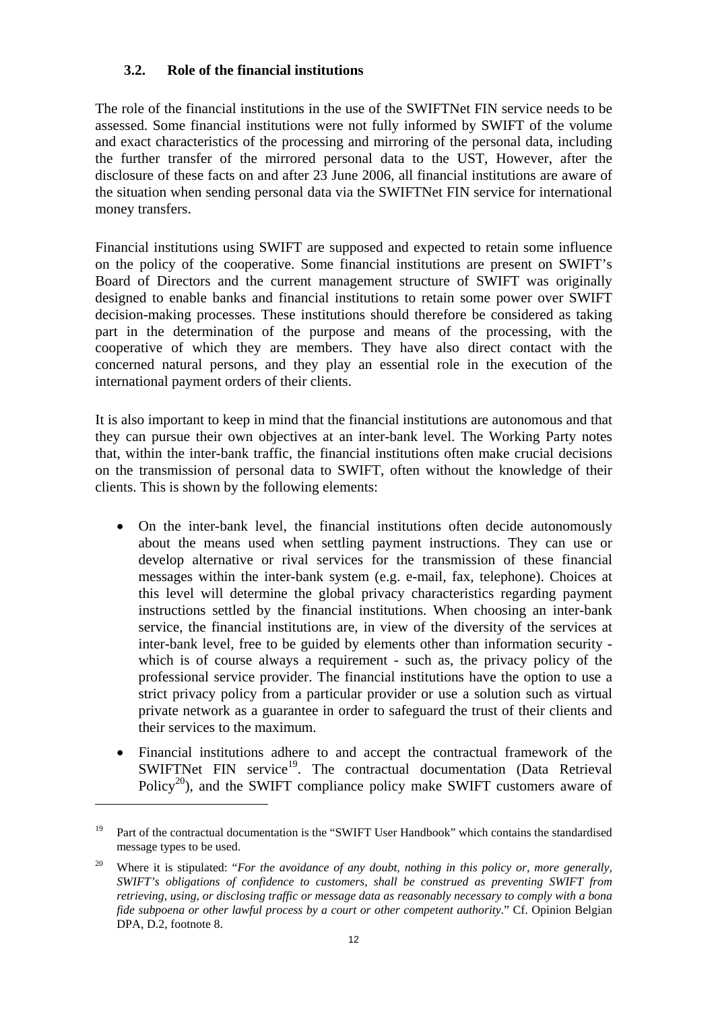## **3.2. Role of the financial institutions**

<span id="page-11-0"></span>The role of the financial institutions in the use of the SWIFTNet FIN service needs to be assessed. Some financial institutions were not fully informed by SWIFT of the volume and exact characteristics of the processing and mirroring of the personal data, including the further transfer of the mirrored personal data to the UST, However, after the disclosure of these facts on and after 23 June 2006, all financial institutions are aware of the situation when sending personal data via the SWIFTNet FIN service for international money transfers.

Financial institutions using SWIFT are supposed and expected to retain some influence on the policy of the cooperative. Some financial institutions are present on SWIFT's Board of Directors and the current management structure of SWIFT was originally designed to enable banks and financial institutions to retain some power over SWIFT decision-making processes. These institutions should therefore be considered as taking part in the determination of the purpose and means of the processing, with the cooperative of which they are members. They have also direct contact with the concerned natural persons, and they play an essential role in the execution of the international payment orders of their clients.

It is also important to keep in mind that the financial institutions are autonomous and that they can pursue their own objectives at an inter-bank level. The Working Party notes that, within the inter-bank traffic, the financial institutions often make crucial decisions on the transmission of personal data to SWIFT, often without the knowledge of their clients. This is shown by the following elements:

- On the inter-bank level, the financial institutions often decide autonomously about the means used when settling payment instructions. They can use or develop alternative or rival services for the transmission of these financial messages within the inter-bank system (e.g. e-mail, fax, telephone). Choices at this level will determine the global privacy characteristics regarding payment instructions settled by the financial institutions. When choosing an inter-bank service, the financial institutions are, in view of the diversity of the services at inter-bank level, free to be guided by elements other than information security which is of course always a requirement - such as, the privacy policy of the professional service provider. The financial institutions have the option to use a strict privacy policy from a particular provider or use a solution such as virtual private network as a guarantee in order to safeguard the trust of their clients and their services to the maximum.
- Financial institutions adhere to and accept the contractual framework of the SWIFTNet FIN service<sup>19</sup>. The contractual documentation (Data Retrieval Policy<sup>20</sup>), and the SWIFT compliance policy make SWIFT customers aware of

<sup>&</sup>lt;sup>19</sup> Part of the contractual documentation is the "SWIFT User Handbook" which contains the standardised message types to be used.

<sup>&</sup>lt;sup>20</sup> Where it is stipulated: "*For the avoidance of any doubt, nothing in this policy or, more generally, SWIFT's obligations of confidence to customers, shall be construed as preventing SWIFT from retrieving, using, or disclosing traffic or message data as reasonably necessary to comply with a bona fide subpoena or other lawful process by a court or other competent authority*." Cf. Opinion Belgian DPA, D.2, footnote 8.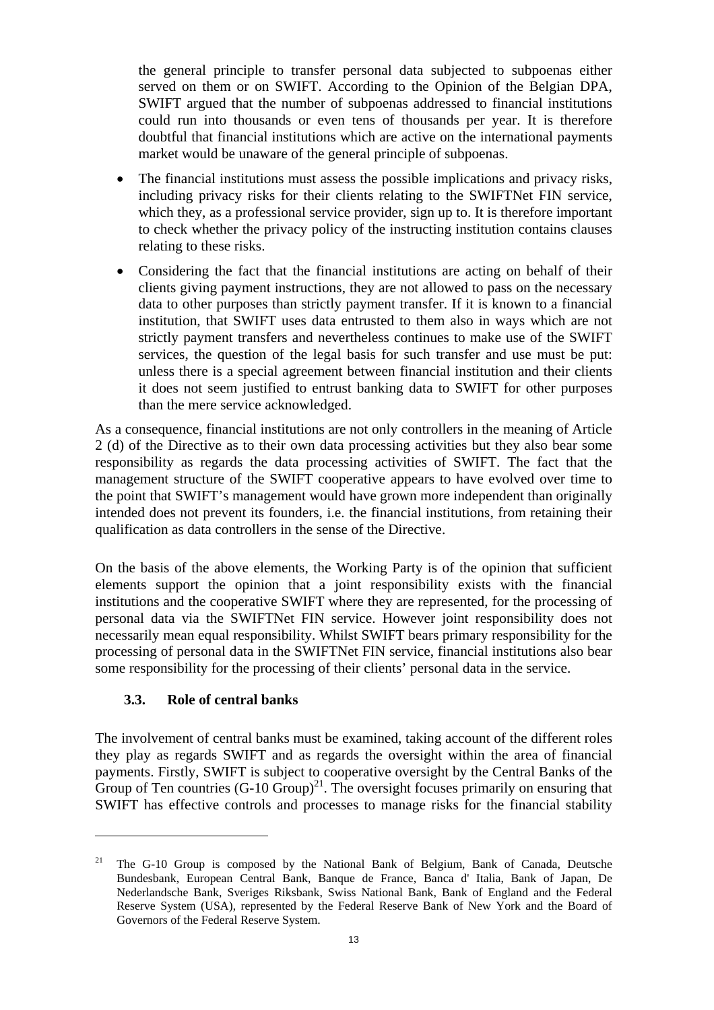the general principle to transfer personal data subjected to subpoenas either served on them or on SWIFT. According to the Opinion of the Belgian DPA, SWIFT argued that the number of subpoenas addressed to financial institutions could run into thousands or even tens of thousands per year. It is therefore doubtful that financial institutions which are active on the international payments market would be unaware of the general principle of subpoenas.

- The financial institutions must assess the possible implications and privacy risks, including privacy risks for their clients relating to the SWIFTNet FIN service, which they, as a professional service provider, sign up to. It is therefore important to check whether the privacy policy of the instructing institution contains clauses relating to these risks.
- Considering the fact that the financial institutions are acting on behalf of their clients giving payment instructions, they are not allowed to pass on the necessary data to other purposes than strictly payment transfer. If it is known to a financial institution, that SWIFT uses data entrusted to them also in ways which are not strictly payment transfers and nevertheless continues to make use of the SWIFT services, the question of the legal basis for such transfer and use must be put: unless there is a special agreement between financial institution and their clients it does not seem justified to entrust banking data to SWIFT for other purposes than the mere service acknowledged.

As a consequence, financial institutions are not only controllers in the meaning of Article 2 (d) of the Directive as to their own data processing activities but they also bear some responsibility as regards the data processing activities of SWIFT. The fact that the management structure of the SWIFT cooperative appears to have evolved over time to the point that SWIFT's management would have grown more independent than originally intended does not prevent its founders, i.e. the financial institutions, from retaining their qualification as data controllers in the sense of the Directive.

On the basis of the above elements, the Working Party is of the opinion that sufficient elements support the opinion that a joint responsibility exists with the financial institutions and the cooperative SWIFT where they are represented, for the processing of personal data via the SWIFTNet FIN service. However joint responsibility does not necessarily mean equal responsibility. Whilst SWIFT bears primary responsibility for the processing of personal data in the SWIFTNet FIN service, financial institutions also bear some responsibility for the processing of their clients' personal data in the service.

## **3.3. Role of central banks**

 $\overline{a}$ 

<span id="page-12-0"></span>The involvement of central banks must be examined, taking account of the different roles they play as regards SWIFT and as regards the oversight within the area of financial payments. Firstly, SWIFT is subject to cooperative oversight by the Central Banks of the Group of Ten countries  $(G-10 \text{ Group})^{21}$ . The oversight focuses primarily on ensuring that SWIFT has effective controls and processes to manage risks for the financial stability

<sup>21</sup> The G-10 Group is composed by the National Bank of Belgium, Bank of Canada, Deutsche Bundesbank, European Central Bank, Banque de France, Banca d' Italia, Bank of Japan, De Nederlandsche Bank, Sveriges Riksbank, Swiss National Bank, Bank of England and the Federal Reserve System (USA), represented by the Federal Reserve Bank of New York and the Board of Governors of the Federal Reserve System.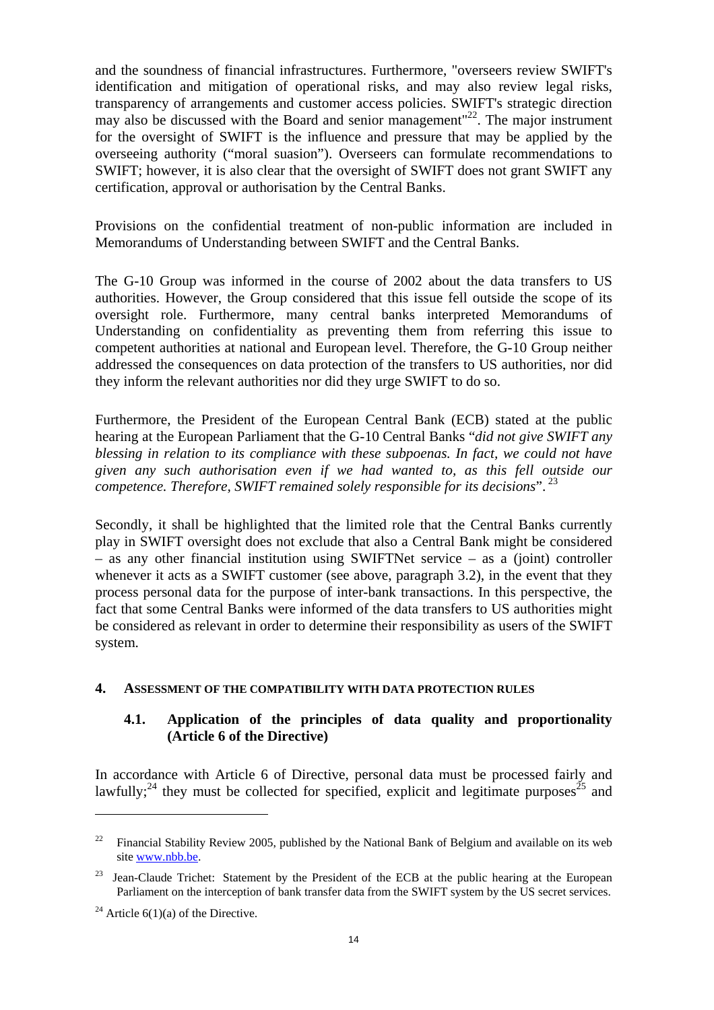and the soundness of financial infrastructures. Furthermore, "overseers review SWIFT's identification and mitigation of operational risks, and may also review legal risks, transparency of arrangements and customer access policies. SWIFT's strategic direction may also be discussed with the Board and senior management<sup>"22</sup>. The major instrument for the oversight of SWIFT is the influence and pressure that may be applied by the overseeing authority ("moral suasion"). Overseers can formulate recommendations to SWIFT; however, it is also clear that the oversight of SWIFT does not grant SWIFT any certification, approval or authorisation by the Central Banks.

Provisions on the confidential treatment of non-public information are included in Memorandums of Understanding between SWIFT and the Central Banks.

The G-10 Group was informed in the course of 2002 about the data transfers to US authorities. However, the Group considered that this issue fell outside the scope of its oversight role. Furthermore, many central banks interpreted Memorandums of Understanding on confidentiality as preventing them from referring this issue to competent authorities at national and European level. Therefore, the G-10 Group neither addressed the consequences on data protection of the transfers to US authorities, nor did they inform the relevant authorities nor did they urge SWIFT to do so.

Furthermore, the President of the European Central Bank (ECB) stated at the public hearing at the European Parliament that the G-10 Central Banks "*did not give SWIFT any blessing in relation to its compliance with these subpoenas. In fact, we could not have given any such authorisation even if we had wanted to, as this fell outside our competence. Therefore, SWIFT remained solely responsible for its decisions*". 23

Secondly, it shall be highlighted that the limited role that the Central Banks currently play in SWIFT oversight does not exclude that also a Central Bank might be considered – as any other financial institution using SWIFTNet service – as a (joint) controller whenever it acts as a SWIFT customer (see above, paragraph 3.2), in the event that they process personal data for the purpose of inter-bank transactions. In this perspective, the fact that some Central Banks were informed of the data transfers to US authorities might be considered as relevant in order to determine their responsibility as users of the SWIFT system.

#### <span id="page-13-1"></span><span id="page-13-0"></span>**4. ASSESSMENT OF THE COMPATIBILITY WITH DATA PROTECTION RULES**

## **4.1. Application of the principles of data quality and proportionality (Article 6 of the Directive)**

In accordance with Article 6 of Directive, personal data must be processed fairly and lawfully;<sup>24</sup> they must be collected for specified, explicit and legitimate purposes<sup>25</sup> and

<sup>&</sup>lt;sup>22</sup> Financial Stability Review 2005, published by the National Bank of Belgium and available on its web sit[e www.nbb.be.](http://www.nbb.be/) 

<sup>&</sup>lt;sup>23</sup> Jean-Claude Trichet: Statement by the President of the ECB at the public hearing at the European Parliament on the interception of bank transfer data from the SWIFT system by the US secret services.

<sup>&</sup>lt;sup>24</sup> Article  $6(1)(a)$  of the Directive.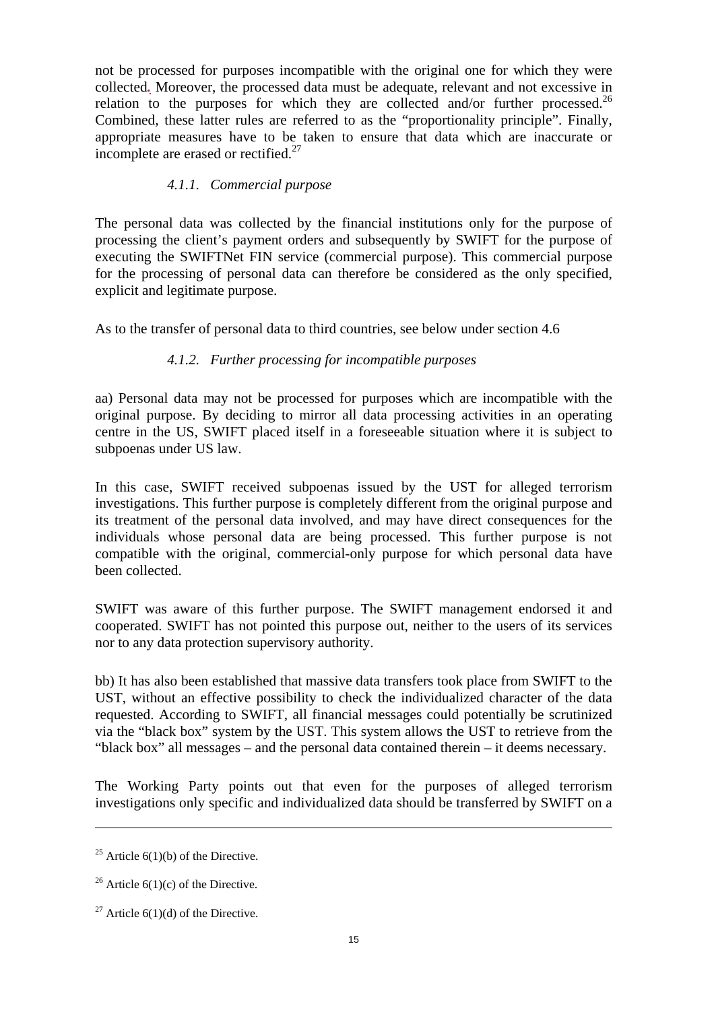not be processed for purposes incompatible with the original one for which they were collected*.* Moreover, the processed data must be adequate, relevant and not excessive in relation to the purposes for which they are collected and/or further processed.<sup>26</sup> Combined, these latter rules are referred to as the "proportionality principle". Finally, appropriate measures have to be taken to ensure that data which are inaccurate or incomplete are erased or rectified. $27$ 

#### *4.1.1. Commercial purpose*

<span id="page-14-0"></span>The personal data was collected by the financial institutions only for the purpose of processing the client's payment orders and subsequently by SWIFT for the purpose of executing the SWIFTNet FIN service (commercial purpose). This commercial purpose for the processing of personal data can therefore be considered as the only specified, explicit and legitimate purpose.

<span id="page-14-1"></span>As to the transfer of personal data to third countries, see below under section 4.6

## *4.1.2. Further processing for incompatible purposes*

aa) Personal data may not be processed for purposes which are incompatible with the original purpose. By deciding to mirror all data processing activities in an operating centre in the US, SWIFT placed itself in a foreseeable situation where it is subject to subpoenas under US law.

In this case, SWIFT received subpoenas issued by the UST for alleged terrorism investigations. This further purpose is completely different from the original purpose and its treatment of the personal data involved, and may have direct consequences for the individuals whose personal data are being processed. This further purpose is not compatible with the original, commercial-only purpose for which personal data have been collected.

SWIFT was aware of this further purpose. The SWIFT management endorsed it and cooperated. SWIFT has not pointed this purpose out, neither to the users of its services nor to any data protection supervisory authority.

bb) It has also been established that massive data transfers took place from SWIFT to the UST, without an effective possibility to check the individualized character of the data requested. According to SWIFT, all financial messages could potentially be scrutinized via the "black box" system by the UST. This system allows the UST to retrieve from the "black box" all messages – and the personal data contained therein – it deems necessary.

The Working Party points out that even for the purposes of alleged terrorism investigations only specific and individualized data should be transferred by SWIFT on a

<sup>&</sup>lt;sup>25</sup> Article  $6(1)(b)$  of the Directive.

<sup>&</sup>lt;sup>26</sup> Article  $6(1)(c)$  of the Directive.

<sup>&</sup>lt;sup>27</sup> Article  $6(1)(d)$  of the Directive.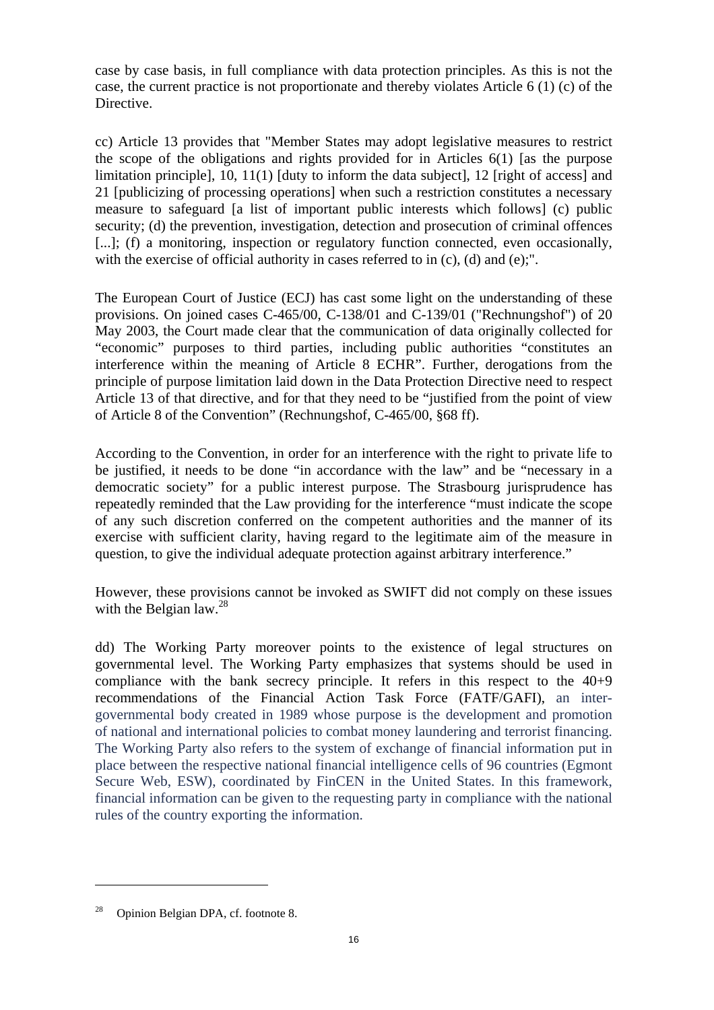case by case basis, in full compliance with data protection principles. As this is not the case, the current practice is not proportionate and thereby violates Article 6 (1) (c) of the Directive.

cc) Article 13 provides that "Member States may adopt legislative measures to restrict the scope of the obligations and rights provided for in Articles 6(1) [as the purpose limitation principle], 10, 11(1) [duty to inform the data subject], 12 [right of access] and 21 [publicizing of processing operations] when such a restriction constitutes a necessary measure to safeguard [a list of important public interests which follows] (c) public security; (d) the prevention, investigation, detection and prosecution of criminal offences [...]; (f) a monitoring, inspection or regulatory function connected, even occasionally, with the exercise of official authority in cases referred to in (c), (d) and (e);".

The European Court of Justice (ECJ) has cast some light on the understanding of these provisions. On joined cases C-465/00, C-138/01 and C-139/01 ("Rechnungshof") of 20 May 2003, the Court made clear that the communication of data originally collected for "economic" purposes to third parties, including public authorities "constitutes an interference within the meaning of Article 8 ECHR". Further, derogations from the principle of purpose limitation laid down in the Data Protection Directive need to respect Article 13 of that directive, and for that they need to be "justified from the point of view of Article 8 of the Convention" (Rechnungshof, C-465/00, §68 ff).

According to the Convention, in order for an interference with the right to private life to be justified, it needs to be done "in accordance with the law" and be "necessary in a democratic society" for a public interest purpose. The Strasbourg jurisprudence has repeatedly reminded that the Law providing for the interference "must indicate the scope of any such discretion conferred on the competent authorities and the manner of its exercise with sufficient clarity, having regard to the legitimate aim of the measure in question, to give the individual adequate protection against arbitrary interference."

However, these provisions cannot be invoked as SWIFT did not comply on these issues with the Belgian law. $^{28}$ 

dd) The Working Party moreover points to the existence of legal structures on governmental level. The Working Party emphasizes that systems should be used in compliance with the bank secrecy principle. It refers in this respect to the 40+9 recommendations of the Financial Action Task Force (FATF/GAFI), an intergovernmental body created in 1989 whose purpose is the development and promotion of national and international policies to combat money laundering and terrorist financing. The Working Party also refers to the system of exchange of financial information put in place between the respective national financial intelligence cells of 96 countries (Egmont Secure Web, ESW), coordinated by FinCEN in the United States. In this framework, financial information can be given to the requesting party in compliance with the national rules of the country exporting the information.

<sup>28</sup> Opinion Belgian DPA, cf. footnote 8.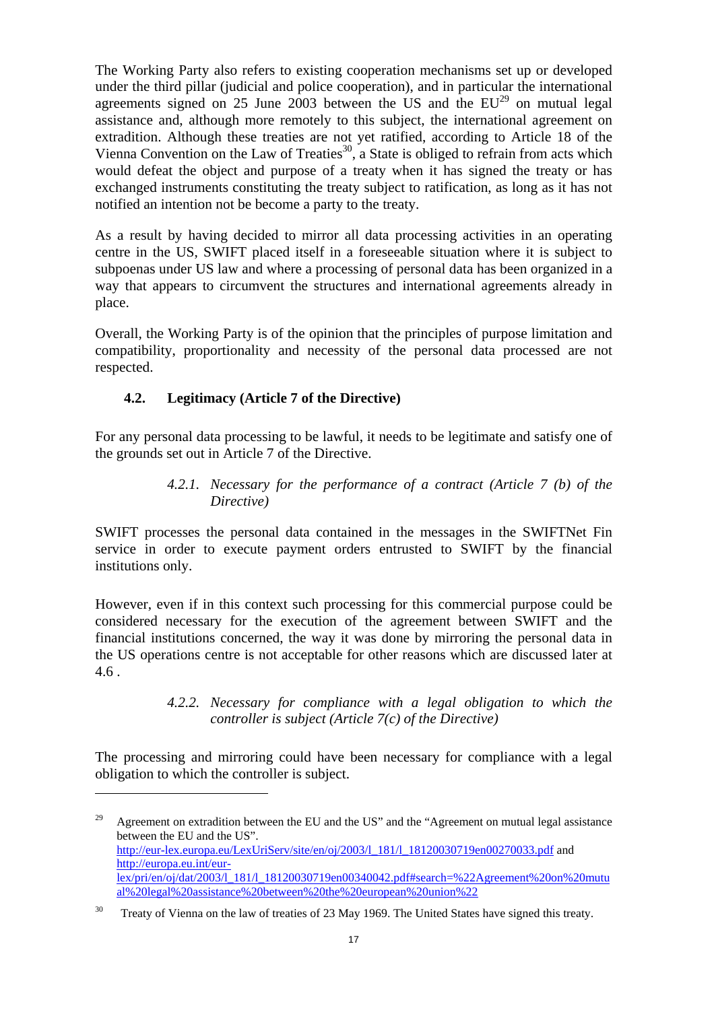The Working Party also refers to existing cooperation mechanisms set up or developed under the third pillar (judicial and police cooperation), and in particular the international agreements signed on 25 June 2003 between the US and the  $EU^{29}$  on mutual legal assistance and, although more remotely to this subject, the international agreement on extradition. Although these treaties are not yet ratified, according to Article 18 of the Vienna Convention on the Law of Treaties<sup>30</sup>, a State is obliged to refrain from acts which would defeat the object and purpose of a treaty when it has signed the treaty or has exchanged instruments constituting the treaty subject to ratification, as long as it has not notified an intention not be become a party to the treaty.

As a result by having decided to mirror all data processing activities in an operating centre in the US, SWIFT placed itself in a foreseeable situation where it is subject to subpoenas under US law and where a processing of personal data has been organized in a way that appears to circumvent the structures and international agreements already in place.

<span id="page-16-0"></span>Overall, the Working Party is of the opinion that the principles of purpose limitation and compatibility, proportionality and necessity of the personal data processed are not respected.

# **4.2. Legitimacy (Article 7 of the Directive)**

 $\overline{a}$ 

<span id="page-16-1"></span>For any personal data processing to be lawful, it needs to be legitimate and satisfy one of the grounds set out in Article 7 of the Directive.

> *4.2.1. Necessary for the performance of a contract (Article 7 (b) of the Directive)*

SWIFT processes the personal data contained in the messages in the SWIFTNet Fin service in order to execute payment orders entrusted to SWIFT by the financial institutions only.

However, even if in this context such processing for this commercial purpose could be considered necessary for the execution of the agreement between SWIFT and the financial institutions concerned, the way it was done by mirroring the personal data in the US operations centre is not acceptable for other reasons which are discussed later at 4.6 .

## *4.2.2. Necessary for compliance with a legal obligation to which the controller is subject (Article 7(c) of the Directive)*

<span id="page-16-2"></span>The processing and mirroring could have been necessary for compliance with a legal obligation to which the controller is subject.

<sup>&</sup>lt;sup>29</sup> Agreement on extradition between the EU and the US" and the "Agreement on mutual legal assistance" between the EU and the US". [http://eur-lex.europa.eu/LexUriServ/site/en/oj/2003/l\\_181/l\\_18120030719en00270033.pdf a](http://eur-lex.europa.eu/LexUriServ/site/en/oj/2003/l_181/l_18120030719en00270033.pdf)nd [http://europa.eu.int/eur](http://europa.eu.int/eur-lex/pri/en/oj/dat/2003/l_181/l_18120030719en00340042.pdf#search=%22Agreement%20on%20mutual%20legal%20assistance%20between%20the%20european%20union%22)[lex/pri/en/oj/dat/2003/l\\_181/l\\_18120030719en00340042.pdf#search=%22Agreement%20on%20mutu](http://europa.eu.int/eur-lex/pri/en/oj/dat/2003/l_181/l_18120030719en00340042.pdf#search=%22Agreement%20on%20mutual%20legal%20assistance%20between%20the%20european%20union%22) [al%20legal%20assistance%20between%20the%20european%20union%22](http://europa.eu.int/eur-lex/pri/en/oj/dat/2003/l_181/l_18120030719en00340042.pdf#search=%22Agreement%20on%20mutual%20legal%20assistance%20between%20the%20european%20union%22)

<sup>&</sup>lt;sup>30</sup> Treaty of Vienna on the law of treaties of 23 May 1969. The United States have signed this treaty.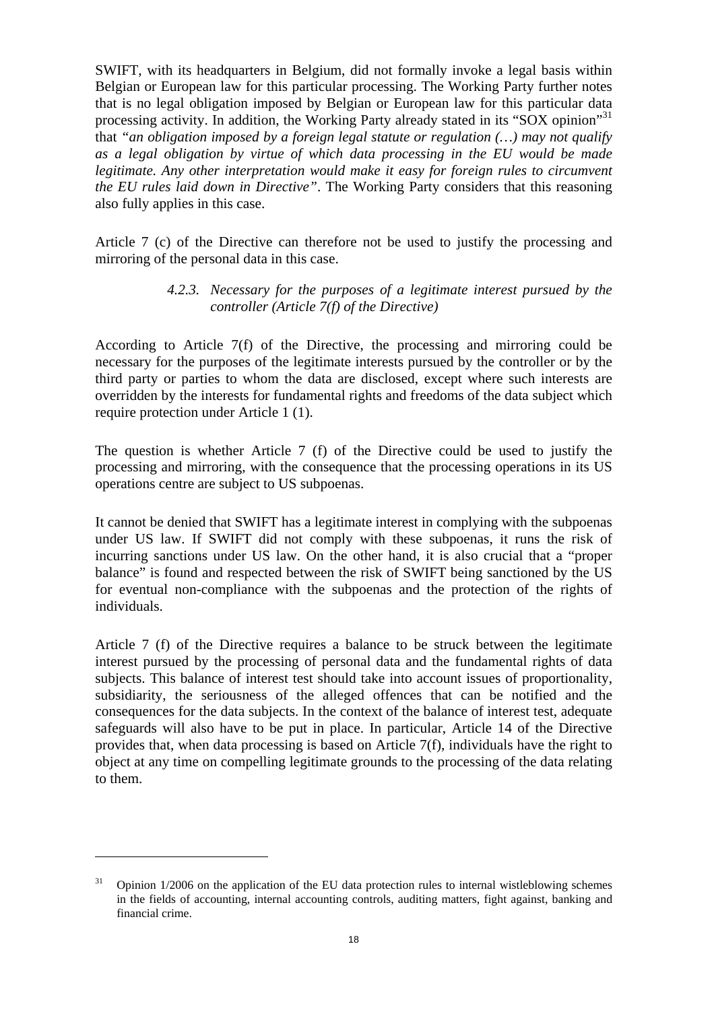SWIFT, with its headquarters in Belgium, did not formally invoke a legal basis within Belgian or European law for this particular processing. The Working Party further notes that is no legal obligation imposed by Belgian or European law for this particular data processing activity. In addition, the Working Party already stated in its "SOX opinion"<sup>31</sup> that *"an obligation imposed by a foreign legal statute or regulation (…) may not qualify as a legal obligation by virtue of which data processing in the EU would be made legitimate. Any other interpretation would make it easy for foreign rules to circumvent the EU rules laid down in Directive"*. The Working Party considers that this reasoning also fully applies in this case.

<span id="page-17-0"></span>Article 7 (c) of the Directive can therefore not be used to justify the processing and mirroring of the personal data in this case.

#### *4.2.3. Necessary for the purposes of a legitimate interest pursued by the controller (Article 7(f) of the Directive)*

According to Article 7(f) of the Directive, the processing and mirroring could be necessary for the purposes of the legitimate interests pursued by the controller or by the third party or parties to whom the data are disclosed, except where such interests are overridden by the interests for fundamental rights and freedoms of the data subject which require protection under Article 1 (1).

The question is whether Article 7 (f) of the Directive could be used to justify the processing and mirroring, with the consequence that the processing operations in its US operations centre are subject to US subpoenas.

It cannot be denied that SWIFT has a legitimate interest in complying with the subpoenas under US law. If SWIFT did not comply with these subpoenas, it runs the risk of incurring sanctions under US law. On the other hand, it is also crucial that a "proper balance" is found and respected between the risk of SWIFT being sanctioned by the US for eventual non-compliance with the subpoenas and the protection of the rights of individuals.

Article 7 (f) of the Directive requires a balance to be struck between the legitimate interest pursued by the processing of personal data and the fundamental rights of data subjects. This balance of interest test should take into account issues of proportionality, subsidiarity, the seriousness of the alleged offences that can be notified and the consequences for the data subjects. In the context of the balance of interest test, adequate safeguards will also have to be put in place. In particular, Article 14 of the Directive provides that, when data processing is based on Article 7(f), individuals have the right to object at any time on compelling legitimate grounds to the processing of the data relating to them.

<sup>31</sup> Opinion 1/2006 on the application of the EU data protection rules to internal wistleblowing schemes in the fields of accounting, internal accounting controls, auditing matters, fight against, banking and financial crime.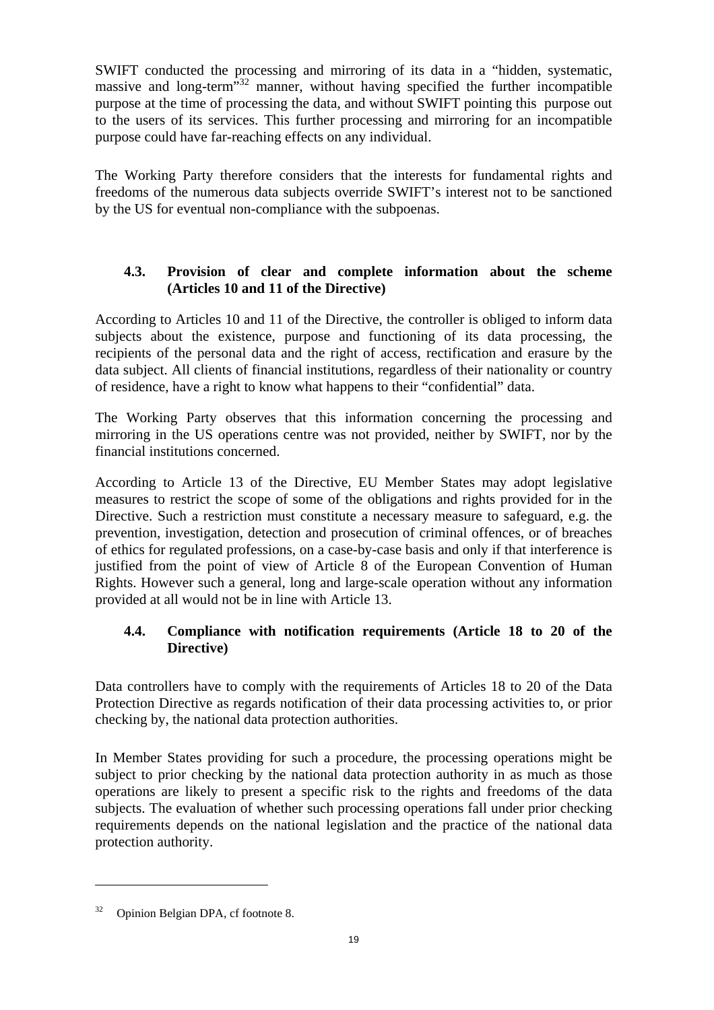SWIFT conducted the processing and mirroring of its data in a "hidden, systematic, massive and long-term<sup>33</sup> manner, without having specified the further incompatible purpose at the time of processing the data, and without SWIFT pointing this purpose out to the users of its services. This further processing and mirroring for an incompatible purpose could have far-reaching effects on any individual.

The Working Party therefore considers that the interests for fundamental rights and freedoms of the numerous data subjects override SWIFT's interest not to be sanctioned by the US for eventual non-compliance with the subpoenas.

## **4.3. Provision of clear and complete information about the scheme (Articles 10 and 11 of the Directive)**

<span id="page-18-0"></span>According to Articles 10 and 11 of the Directive, the controller is obliged to inform data subjects about the existence, purpose and functioning of its data processing, the recipients of the personal data and the right of access, rectification and erasure by the data subject. All clients of financial institutions, regardless of their nationality or country of residence, have a right to know what happens to their "confidential" data.

The Working Party observes that this information concerning the processing and mirroring in the US operations centre was not provided, neither by SWIFT, nor by the financial institutions concerned.

According to Article 13 of the Directive, EU Member States may adopt legislative measures to restrict the scope of some of the obligations and rights provided for in the Directive. Such a restriction must constitute a necessary measure to safeguard, e.g. the prevention, investigation, detection and prosecution of criminal offences, or of breaches of ethics for regulated professions, on a case-by-case basis and only if that interference is justified from the point of view of Article 8 of the European Convention of Human Rights. However such a general, long and large-scale operation without any information provided at all would not be in line with Article 13.

# **4.4. Compliance with notification requirements (Article 18 to 20 of the Directive)**

<span id="page-18-1"></span>Data controllers have to comply with the requirements of Articles 18 to 20 of the Data Protection Directive as regards notification of their data processing activities to, or prior checking by, the national data protection authorities.

In Member States providing for such a procedure, the processing operations might be subject to prior checking by the national data protection authority in as much as those operations are likely to present a specific risk to the rights and freedoms of the data subjects. The evaluation of whether such processing operations fall under prior checking requirements depends on the national legislation and the practice of the national data protection authority.

<sup>32</sup> Opinion Belgian DPA, cf footnote 8.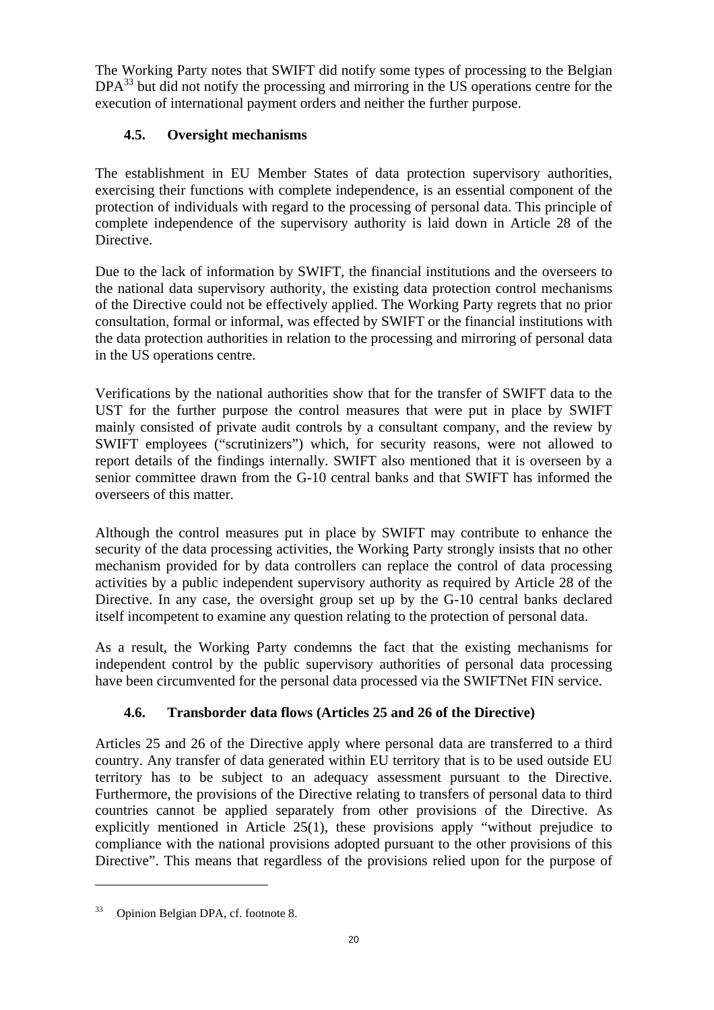<span id="page-19-0"></span>The Working Party notes that SWIFT did notify some types of processing to the Belgian  $DPA<sup>33</sup>$  but did not notify the processing and mirroring in the US operations centre for the execution of international payment orders and neither the further purpose.

# **4.5. Oversight mechanisms**

The establishment in EU Member States of data protection supervisory authorities, exercising their functions with complete independence, is an essential component of the protection of individuals with regard to the processing of personal data. This principle of complete independence of the supervisory authority is laid down in Article 28 of the Directive.

Due to the lack of information by SWIFT, the financial institutions and the overseers to the national data supervisory authority, the existing data protection control mechanisms of the Directive could not be effectively applied. The Working Party regrets that no prior consultation, formal or informal, was effected by SWIFT or the financial institutions with the data protection authorities in relation to the processing and mirroring of personal data in the US operations centre.

Verifications by the national authorities show that for the transfer of SWIFT data to the UST for the further purpose the control measures that were put in place by SWIFT mainly consisted of private audit controls by a consultant company, and the review by SWIFT employees ("scrutinizers") which, for security reasons, were not allowed to report details of the findings internally. SWIFT also mentioned that it is overseen by a senior committee drawn from the G-10 central banks and that SWIFT has informed the overseers of this matter.

Although the control measures put in place by SWIFT may contribute to enhance the security of the data processing activities, the Working Party strongly insists that no other mechanism provided for by data controllers can replace the control of data processing activities by a public independent supervisory authority as required by Article 28 of the Directive. In any case, the oversight group set up by the G-10 central banks declared itself incompetent to examine any question relating to the protection of personal data.

As a result, the Working Party condemns the fact that the existing mechanisms for independent control by the public supervisory authorities of personal data processing have been circumvented for the personal data processed via the SWIFTNet FIN service.

# **4.6. Transborder data flows (Articles 25 and 26 of the Directive)**

<span id="page-19-1"></span>Articles 25 and 26 of the Directive apply where personal data are transferred to a third country. Any transfer of data generated within EU territory that is to be used outside EU territory has to be subject to an adequacy assessment pursuant to the Directive. Furthermore, the provisions of the Directive relating to transfers of personal data to third countries cannot be applied separately from other provisions of the Directive. As explicitly mentioned in Article 25(1), these provisions apply "without prejudice to compliance with the national provisions adopted pursuant to the other provisions of this Directive". This means that regardless of the provisions relied upon for the purpose of

<sup>33</sup> Opinion Belgian DPA, cf. footnote 8.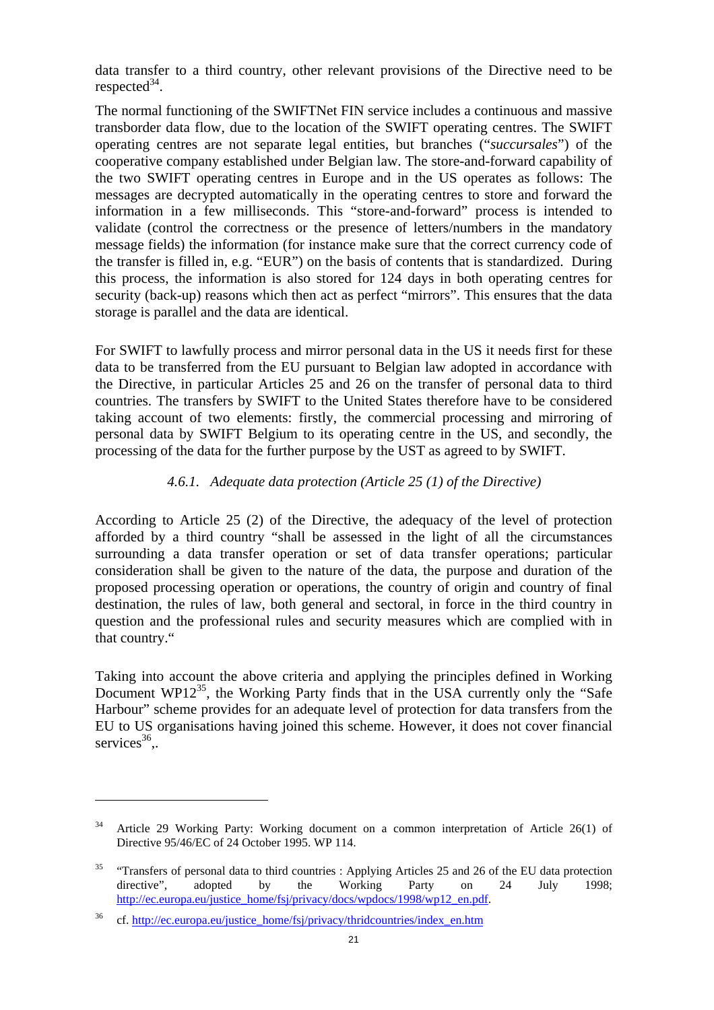data transfer to a third country, other relevant provisions of the Directive need to be respected $^{34}$ .

The normal functioning of the SWIFTNet FIN service includes a continuous and massive transborder data flow, due to the location of the SWIFT operating centres. The SWIFT operating centres are not separate legal entities, but branches ("*succursales*") of the cooperative company established under Belgian law. The store-and-forward capability of the two SWIFT operating centres in Europe and in the US operates as follows: The messages are decrypted automatically in the operating centres to store and forward the information in a few milliseconds. This "store-and-forward" process is intended to validate (control the correctness or the presence of letters/numbers in the mandatory message fields) the information (for instance make sure that the correct currency code of the transfer is filled in, e.g. "EUR") on the basis of contents that is standardized. During this process, the information is also stored for 124 days in both operating centres for security (back-up) reasons which then act as perfect "mirrors". This ensures that the data storage is parallel and the data are identical.

For SWIFT to lawfully process and mirror personal data in the US it needs first for these data to be transferred from the EU pursuant to Belgian law adopted in accordance with the Directive, in particular Articles 25 and 26 on the transfer of personal data to third countries. The transfers by SWIFT to the United States therefore have to be considered taking account of two elements: firstly, the commercial processing and mirroring of personal data by SWIFT Belgium to its operating centre in the US, and secondly, the processing of the data for the further purpose by the UST as agreed to by SWIFT.

## *4.6.1. Adequate data protection (Article 25 (1) of the Directive)*

<span id="page-20-0"></span>According to Article 25 (2) of the Directive, the adequacy of the level of protection afforded by a third country "shall be assessed in the light of all the circumstances surrounding a data transfer operation or set of data transfer operations; particular consideration shall be given to the nature of the data, the purpose and duration of the proposed processing operation or operations, the country of origin and country of final destination, the rules of law, both general and sectoral, in force in the third country in question and the professional rules and security measures which are complied with in that country."

Taking into account the above criteria and applying the principles defined in Working Document WP1 $2^{35}$ , the Working Party finds that in the USA currently only the "Safe" Harbour" scheme provides for an adequate level of protection for data transfers from the EU to US organisations having joined this scheme. However, it does not cover financial services $36$ .

<sup>34</sup> Article 29 Working Party: Working document on a common interpretation of Article 26(1) of Directive 95/46/EC of 24 October 1995. WP 114.

<sup>&</sup>lt;sup>35</sup> "Transfers of personal data to third countries : Applying Articles 25 and 26 of the EU data protection directive", adopted by the Working Party on 24 July 1998; [http://ec.europa.eu/justice\\_home/fsj/privacy/docs/wpdocs/1998/wp12\\_en.pdf.](http://ec.europa.eu/justice_home/fsj/privacy/docs/wpdocs/1998/wp12_en.pdf)

<sup>&</sup>lt;sup>36</sup> cf. http://ec.europa.eu/justice\_home/fsj/privacy/thridcountries/index\_en.htm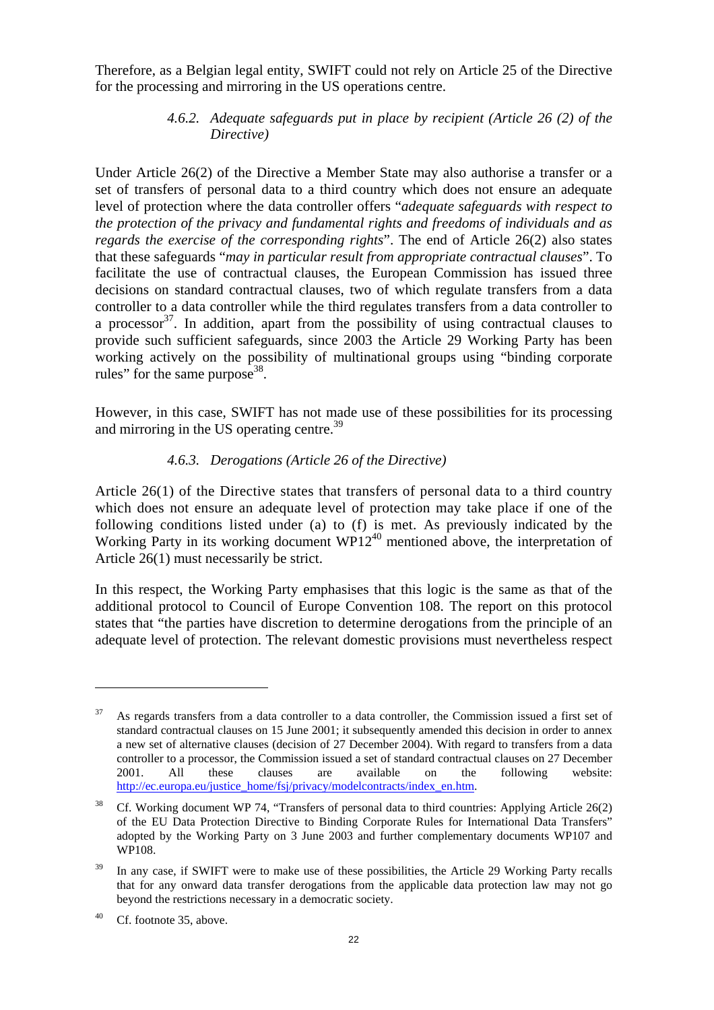<span id="page-21-0"></span>Therefore, as a Belgian legal entity, SWIFT could not rely on Article 25 of the Directive for the processing and mirroring in the US operations centre.

## *4.6.2. Adequate safeguards put in place by recipient (Article 26 (2) of the Directive)*

Under Article 26(2) of the Directive a Member State may also authorise a transfer or a set of transfers of personal data to a third country which does not ensure an adequate level of protection where the data controller offers "*adequate safeguards with respect to the protection of the privacy and fundamental rights and freedoms of individuals and as regards the exercise of the corresponding rights*". The end of Article 26(2) also states that these safeguards "*may in particular result from appropriate contractual clauses*". To facilitate the use of contractual clauses, the European Commission has issued three decisions on standard contractual clauses, two of which regulate transfers from a data controller to a data controller while the third regulates transfers from a data controller to a processor  $37$ . In addition, apart from the possibility of using contractual clauses to provide such sufficient safeguards, since 2003 the Article 29 Working Party has been working actively on the possibility of multinational groups using "binding corporate rules" for the same purpose  $38$ .

<span id="page-21-1"></span>However, in this case, SWIFT has not made use of these possibilities for its processing and mirroring in the US operating centre.<sup>39</sup>

#### *4.6.3. Derogations (Article 26 of the Directive)*

Article 26(1) of the Directive states that transfers of personal data to a third country which does not ensure an adequate level of protection may take place if one of the following conditions listed under (a) to (f) is met. As previously indicated by the Working Party in its working document  $WPI2^{40}$  mentioned above, the interpretation of Article 26(1) must necessarily be strict.

In this respect, the Working Party emphasises that this logic is the same as that of the additional protocol to Council of Europe Convention 108. The report on this protocol states that "the parties have discretion to determine derogations from the principle of an adequate level of protection. The relevant domestic provisions must nevertheless respect

As regards transfers from a data controller to a data controller, the Commission issued a first set of standard contractual clauses on 15 June 2001; it subsequently amended this decision in order to annex a new set of alternative clauses (decision of 27 December 2004). With regard to transfers from a data controller to a processor, the Commission issued a set of standard contractual clauses on 27 December 2001. All these clauses are available on the following website: [http://ec.europa.eu/justice\\_home/fsj/privacy/modelcontracts/index\\_en.htm.](http://ec.europa.eu/justice_home/fsj/privacy/modelcontracts/index_en.htm) 

<sup>38</sup> Cf. Working document WP 74, "Transfers of personal data to third countries: Applying Article 26(2) of the EU Data Protection Directive to Binding Corporate Rules for International Data Transfers" adopted by the Working Party on 3 June 2003 and further complementary documents WP107 and WP108.

<sup>&</sup>lt;sup>39</sup> In any case, if SWIFT were to make use of these possibilities, the Article 29 Working Party recalls that for any onward data transfer derogations from the applicable data protection law may not go beyond the restrictions necessary in a democratic society.

<sup>40</sup> Cf. footnote 35, above.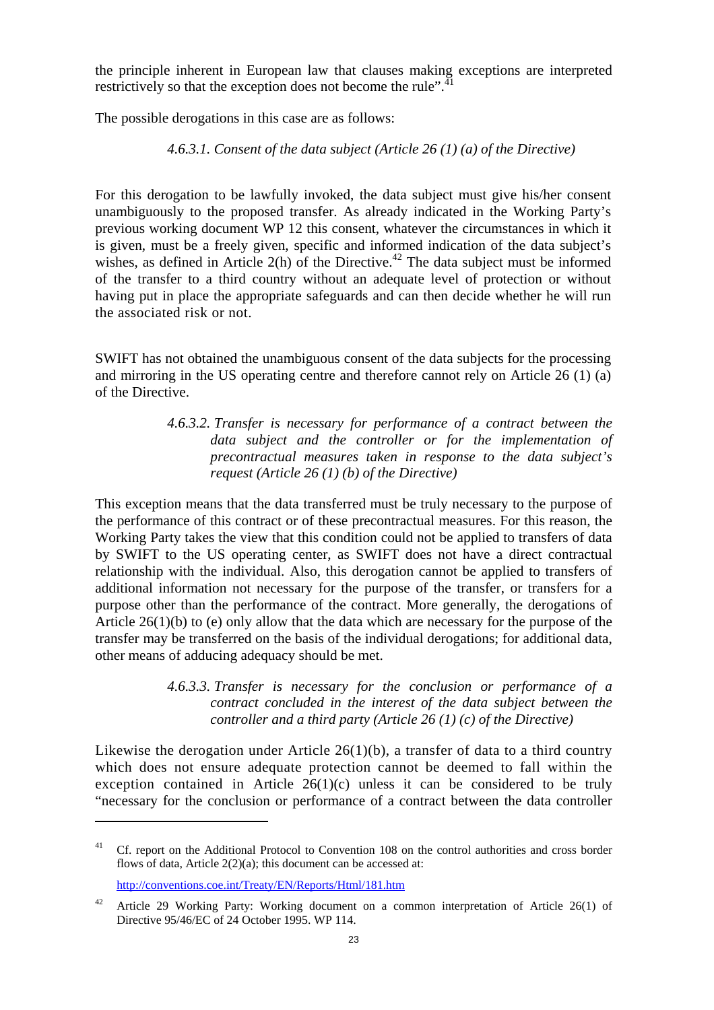the principle inherent in European law that clauses making exceptions are interpreted restrictively so that the exception does not become the rule".<sup>41</sup>

<span id="page-22-0"></span>The possible derogations in this case are as follows:

*4.6.3.1. Consent of the data subject (Article 26 (1) (a) of the Directive)* 

For this derogation to be lawfully invoked, the data subject must give his/her consent unambiguously to the proposed transfer. As already indicated in the Working Party's previous working document WP 12 this consent, whatever the circumstances in which it is given, must be a freely given, specific and informed indication of the data subject's wishes, as defined in Article 2(h) of the Directive.<sup>42</sup> The data subject must be informed of the transfer to a third country without an adequate level of protection or without having put in place the appropriate safeguards and can then decide whether he will run the associated risk or not.

<span id="page-22-1"></span>SWIFT has not obtained the unambiguous consent of the data subjects for the processing and mirroring in the US operating centre and therefore cannot rely on Article 26 (1) (a) of the Directive.

> *4.6.3.2. Transfer is necessary for performance of a contract between the data subject and the controller or for the implementation of precontractual measures taken in response to the data subject's request (Article 26 (1) (b) of the Directive)*

This exception means that the data transferred must be truly necessary to the purpose of the performance of this contract or of these precontractual measures. For this reason, the Working Party takes the view that this condition could not be applied to transfers of data by SWIFT to the US operating center, as SWIFT does not have a direct contractual relationship with the individual. Also, this derogation cannot be applied to transfers of additional information not necessary for the purpose of the transfer, or transfers for a purpose other than the performance of the contract. More generally, the derogations of Article 26(1)(b) to (e) only allow that the data which are necessary for the purpose of the transfer may be transferred on the basis of the individual derogations; for additional data, other means of adducing adequacy should be met.

> *4.6.3.3. Transfer is necessary for the conclusion or performance of a contract concluded in the interest of the data subject between the controller and a third party (Article 26 (1) (c) of the Directive)*

<span id="page-22-2"></span>Likewise the derogation under Article  $26(1)(b)$ , a transfer of data to a third country which does not ensure adequate protection cannot be deemed to fall within the exception contained in Article  $26(1)(c)$  unless it can be considered to be truly "necessary for the conclusion or performance of a contract between the data controller

<sup>&</sup>lt;sup>41</sup> Cf. report on the Additional Protocol to Convention 108 on the control authorities and cross border flows of data, Article  $2(2)(a)$ ; this document can be accessed at:

<http://conventions.coe.int/Treaty/EN/Reports/Html/181.htm>

<sup>&</sup>lt;sup>42</sup> Article 29 Working Party: Working document on a common interpretation of Article 26(1) of Directive 95/46/EC of 24 October 1995. WP 114.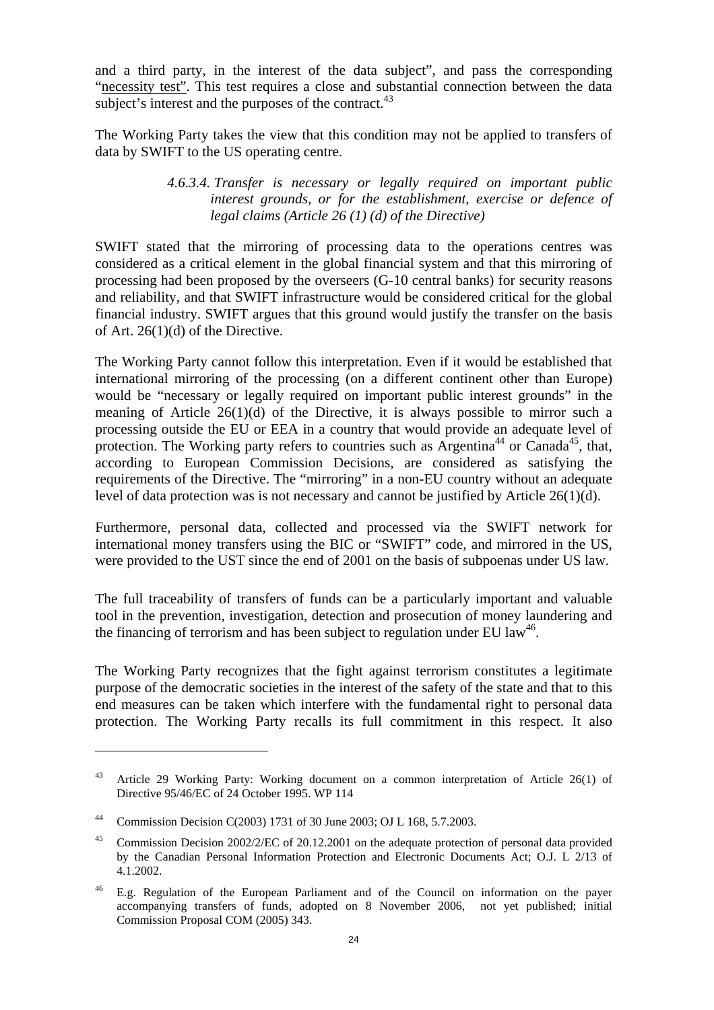and a third party, in the interest of the data subject", and pass the corresponding "necessity test". This test requires a close and substantial connection between the data subject's interest and the purposes of the contract.  $43$ 

<span id="page-23-0"></span>The Working Party takes the view that this condition may not be applied to transfers of data by SWIFT to the US operating centre.

#### *4.6.3.4. Transfer is necessary or legally required on important public interest grounds, or for the establishment, exercise or defence of legal claims (Article 26 (1) (d) of the Directive)*

SWIFT stated that the mirroring of processing data to the operations centres was considered as a critical element in the global financial system and that this mirroring of processing had been proposed by the overseers (G-10 central banks) for security reasons and reliability, and that SWIFT infrastructure would be considered critical for the global financial industry. SWIFT argues that this ground would justify the transfer on the basis of Art. 26(1)(d) of the Directive.

The Working Party cannot follow this interpretation. Even if it would be established that international mirroring of the processing (on a different continent other than Europe) would be "necessary or legally required on important public interest grounds" in the meaning of Article 26(1)(d) of the Directive, it is always possible to mirror such a processing outside the EU or EEA in a country that would provide an adequate level of protection. The Working party refers to countries such as Argentina<sup>44</sup> or Canada<sup>45</sup>, that, according to European Commission Decisions, are considered as satisfying the requirements of the Directive. The "mirroring" in a non-EU country without an adequate level of data protection was is not necessary and cannot be justified by Article  $26(1)(d)$ .

Furthermore, personal data, collected and processed via the SWIFT network for international money transfers using the BIC or "SWIFT" code, and mirrored in the US, were provided to the UST since the end of 2001 on the basis of subpoenas under US law.

The full traceability of transfers of funds can be a particularly important and valuable tool in the prevention, investigation, detection and prosecution of money laundering and the financing of terrorism and has been subject to regulation under EU law<sup>46</sup>.

The Working Party recognizes that the fight against terrorism constitutes a legitimate purpose of the democratic societies in the interest of the safety of the state and that to this end measures can be taken which interfere with the fundamental right to personal data protection. The Working Party recalls its full commitment in this respect. It also

<sup>43</sup> Article 29 Working Party: Working document on a common interpretation of Article 26(1) of Directive 95/46/EC of 24 October 1995. WP 114

<sup>44</sup> Commission Decision C(2003) 1731 of 30 June 2003; OJ L 168, 5.7.2003.

<sup>&</sup>lt;sup>45</sup> [Commission Decision 2](http://eur-lex.europa.eu/LexUriServ/LexUriServ.do?uri=CELEX:32002D0002:EN:NOT)002/2/EC of 20.12.2001 on the adequate protection of personal data provided by the Canadian Personal Information Protection and Electronic Documents Act; O.J. L 2/13 of 4.1.2002.

<sup>46</sup> E.g. Regulation of the European Parliament and of the Council on information on the payer accompanying transfers of funds, adopted on 8 November 2006, not yet published; initial Commission Proposal COM (2005) 343.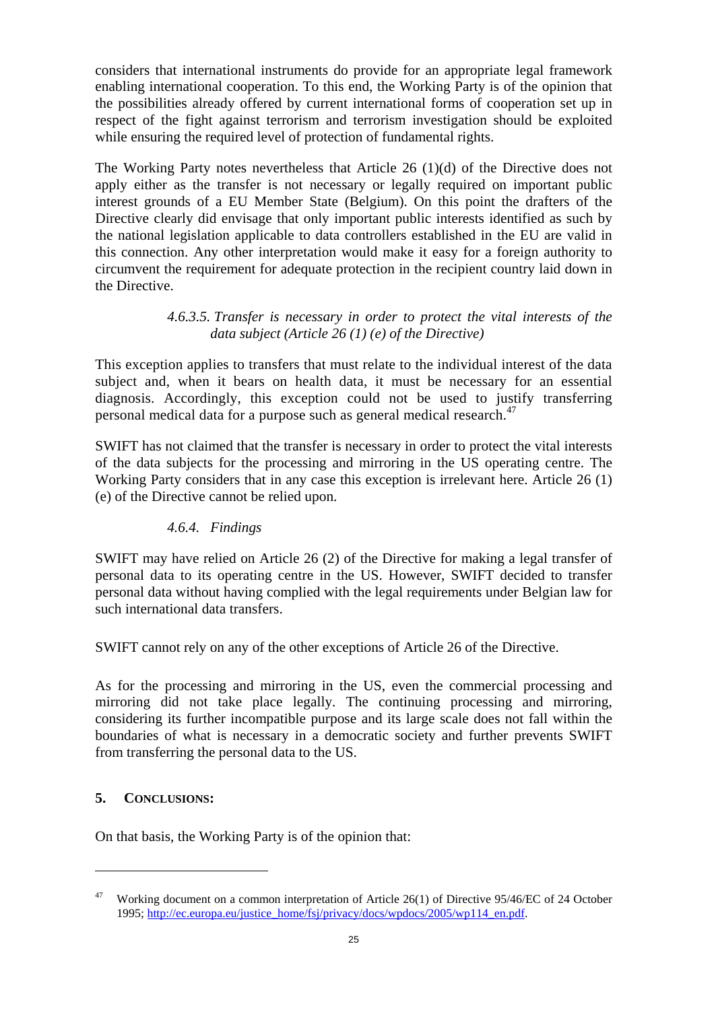considers that international instruments do provide for an appropriate legal framework enabling international cooperation. To this end, the Working Party is of the opinion that the possibilities already offered by current international forms of cooperation set up in respect of the fight against terrorism and terrorism investigation should be exploited while ensuring the required level of protection of fundamental rights.

The Working Party notes nevertheless that Article 26 (1)(d) of the Directive does not apply either as the transfer is not necessary or legally required on important public interest grounds of a EU Member State (Belgium). On this point the drafters of the Directive clearly did envisage that only important public interests identified as such by the national legislation applicable to data controllers established in the EU are valid in this connection. Any other interpretation would make it easy for a foreign authority to circumvent the requirement for adequate protection in the recipient country laid down in the Directive.

#### *4.6.3.5. Transfer is necessary in order to protect the vital interests of the data subject (Article 26 (1) (e) of the Directive)*

<span id="page-24-0"></span>This exception applies to transfers that must relate to the individual interest of the data subject and, when it bears on health data, it must be necessary for an essential diagnosis. Accordingly, this exception could not be used to justify transferring personal medical data for a purpose such as general medical research.<sup>47</sup>

SWIFT has not claimed that the transfer is necessary in order to protect the vital interests of the data subjects for the processing and mirroring in the US operating centre. The Working Party considers that in any case this exception is irrelevant here. Article 26 (1) (e) of the Directive cannot be relied upon.

# *4.6.4. Findings*

<span id="page-24-1"></span>SWIFT may have relied on Article 26 (2) of the Directive for making a legal transfer of personal data to its operating centre in the US. However, SWIFT decided to transfer personal data without having complied with the legal requirements under Belgian law for such international data transfers.

SWIFT cannot rely on any of the other exceptions of Article 26 of the Directive.

As for the processing and mirroring in the US, even the commercial processing and mirroring did not take place legally. The continuing processing and mirroring, considering its further incompatible purpose and its large scale does not fall within the boundaries of what is necessary in a democratic society and further prevents SWIFT from transferring the personal data to the US.

## <span id="page-24-2"></span>**5. CONCLUSIONS:**

 $\overline{a}$ 

On that basis, the Working Party is of the opinion that:

<sup>&</sup>lt;sup>47</sup> Working document on a common interpretation of Article 26(1) of Directive 95/46/EC of 24 October [1995; http://ec.europa.eu/justice\\_home/fsj/privacy/docs/wpdocs/2005/wp114\\_en.pdf.](http://ec.europa.eu/justice_home/fsj/privacy/docs/wpdocs/2005/wp114_en.pdf)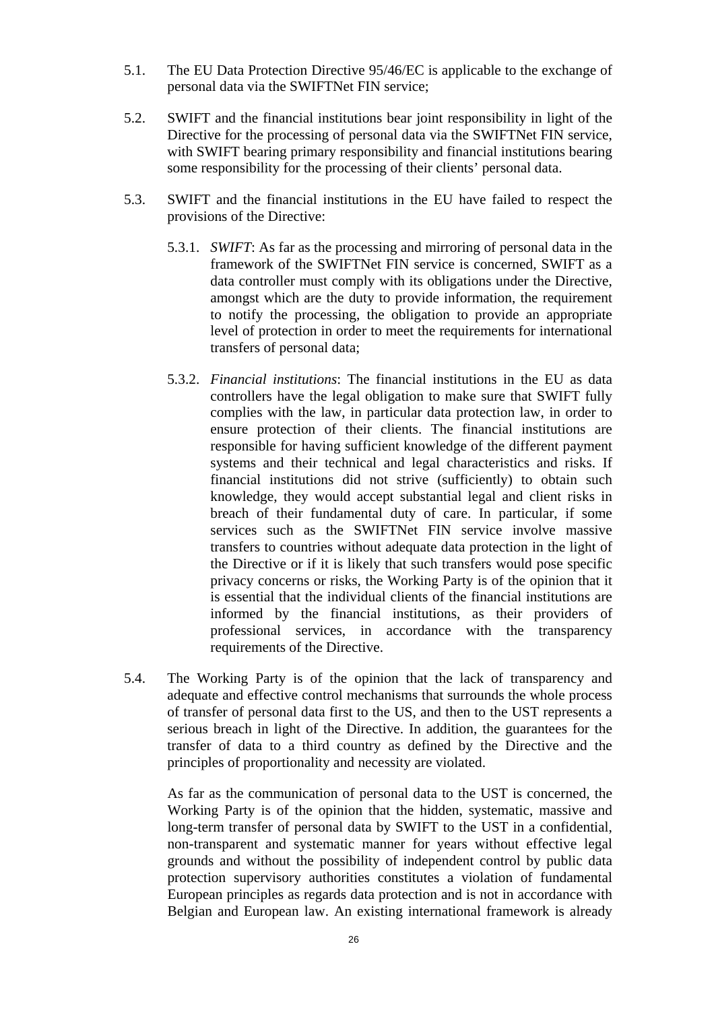- 5.1. The EU Data Protection Directive 95/46/EC is applicable to the exchange of personal data via the SWIFTNet FIN service;
- 5.2. SWIFT and the financial institutions bear joint responsibility in light of the Directive for the processing of personal data via the SWIFTNet FIN service, with SWIFT bearing primary responsibility and financial institutions bearing some responsibility for the processing of their clients' personal data.
- 5.3. SWIFT and the financial institutions in the EU have failed to respect the provisions of the Directive:
	- 5.3.1. *SWIFT*: As far as the processing and mirroring of personal data in the framework of the SWIFTNet FIN service is concerned, SWIFT as a data controller must comply with its obligations under the Directive, amongst which are the duty to provide information, the requirement to notify the processing, the obligation to provide an appropriate level of protection in order to meet the requirements for international transfers of personal data;
	- 5.3.2. *Financial institutions*: The financial institutions in the EU as data controllers have the legal obligation to make sure that SWIFT fully complies with the law, in particular data protection law, in order to ensure protection of their clients. The financial institutions are responsible for having sufficient knowledge of the different payment systems and their technical and legal characteristics and risks. If financial institutions did not strive (sufficiently) to obtain such knowledge, they would accept substantial legal and client risks in breach of their fundamental duty of care. In particular, if some services such as the SWIFTNet FIN service involve massive transfers to countries without adequate data protection in the light of the Directive or if it is likely that such transfers would pose specific privacy concerns or risks, the Working Party is of the opinion that it is essential that the individual clients of the financial institutions are informed by the financial institutions, as their providers of professional services, in accordance with the transparency requirements of the Directive.
- 5.4. The Working Party is of the opinion that the lack of transparency and adequate and effective control mechanisms that surrounds the whole process of transfer of personal data first to the US, and then to the UST represents a serious breach in light of the Directive. In addition, the guarantees for the transfer of data to a third country as defined by the Directive and the principles of proportionality and necessity are violated.

As far as the communication of personal data to the UST is concerned, the Working Party is of the opinion that the hidden, systematic, massive and long-term transfer of personal data by SWIFT to the UST in a confidential, non-transparent and systematic manner for years without effective legal grounds and without the possibility of independent control by public data protection supervisory authorities constitutes a violation of fundamental European principles as regards data protection and is not in accordance with Belgian and European law. An existing international framework is already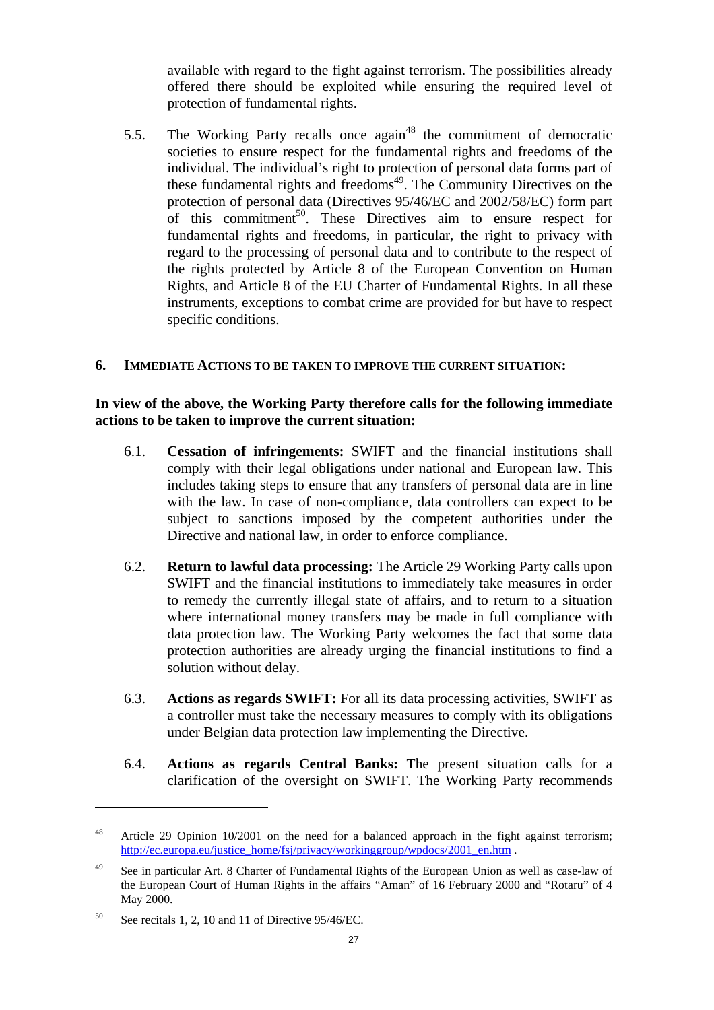available with regard to the fight against terrorism. The possibilities already offered there should be exploited while ensuring the required level of protection of fundamental rights.

5.5. The Working Party recalls once  $again^{48}$  the commitment of democratic societies to ensure respect for the fundamental rights and freedoms of the individual. The individual's right to protection of personal data forms part of these fundamental rights and freedoms<sup> $49$ </sup>. The Community Directives on the protection of personal data (Directives 95/46/EC and 2002/58/EC) form part of this commitment<sup>50</sup>. These Directives aim to ensure respect for fundamental rights and freedoms, in particular, the right to privacy with regard to the processing of personal data and to contribute to the respect of the rights protected by Article 8 of the European Convention on Human Rights, and Article 8 of the EU Charter of Fundamental Rights. In all these instruments, exceptions to combat crime are provided for but have to respect specific conditions.

#### <span id="page-26-0"></span>**6. IMMEDIATE ACTIONS TO BE TAKEN TO IMPROVE THE CURRENT SITUATION:**

#### **In view of the above, the Working Party therefore calls for the following immediate actions to be taken to improve the current situation:**

- 6.1. **Cessation of infringements:** SWIFT and the financial institutions shall comply with their legal obligations under national and European law. This includes taking steps to ensure that any transfers of personal data are in line with the law. In case of non-compliance, data controllers can expect to be subject to sanctions imposed by the competent authorities under the Directive and national law, in order to enforce compliance.
- 6.2. **Return to lawful data processing:** The Article 29 Working Party calls upon SWIFT and the financial institutions to immediately take measures in order to remedy the currently illegal state of affairs, and to return to a situation where international money transfers may be made in full compliance with data protection law. The Working Party welcomes the fact that some data protection authorities are already urging the financial institutions to find a solution without delay.
- 6.3. **Actions as regards SWIFT:** For all its data processing activities, SWIFT as a controller must take the necessary measures to comply with its obligations under Belgian data protection law implementing the Directive.
- 6.4. **Actions as regards Central Banks:** The present situation calls for a clarification of the oversight on SWIFT. The Working Party recommends

<sup>&</sup>lt;sup>48</sup> Article 29 Opinion 10/2001 on the need for a balanced approach in the fight against terrorism; [http://ec.europa.eu/justice\\_home/fsj/privacy/workinggroup/wpdocs/2001\\_en.htm](http://ec.europa.eu/justice_home/fsj/privacy/workinggroup/wpdocs/2001_en.htm) .

<sup>&</sup>lt;sup>49</sup> See in particular Art. 8 Charter of Fundamental Rights of the European Union as well as case-law of the European Court of Human Rights in the affairs "Aman" of 16 February 2000 and "Rotaru" of 4 May 2000.

 $50$  See recitals 1, 2, 10 and 11 of Directive 95/46/EC.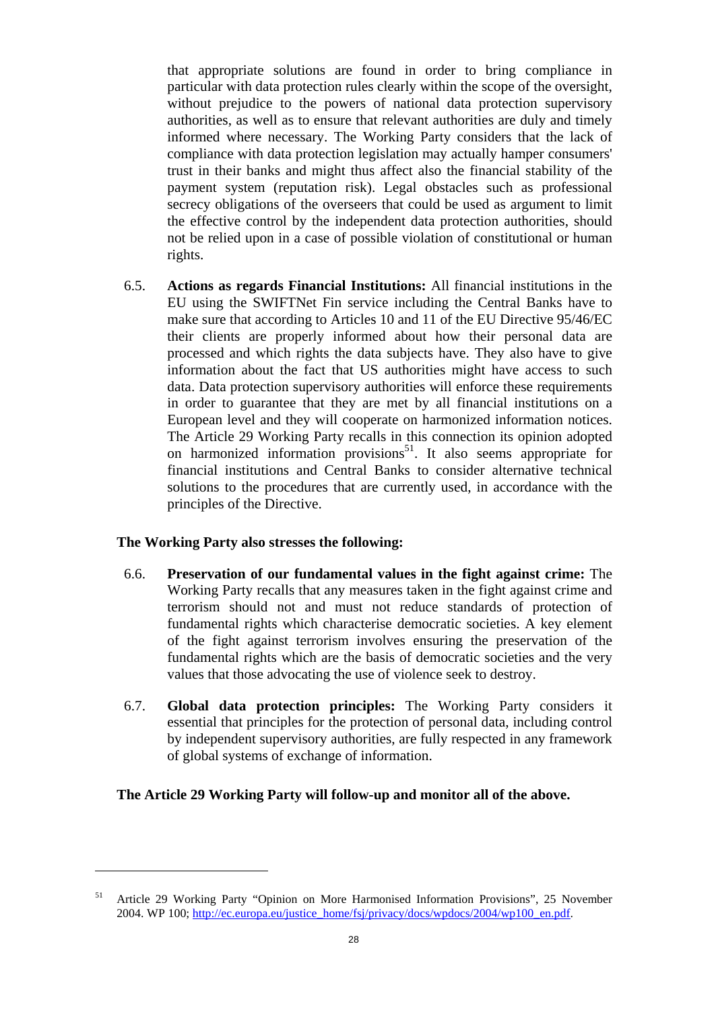that appropriate solutions are found in order to bring compliance in particular with data protection rules clearly within the scope of the oversight, without prejudice to the powers of national data protection supervisory authorities, as well as to ensure that relevant authorities are duly and timely informed where necessary. The Working Party considers that the lack of compliance with data protection legislation may actually hamper consumers' trust in their banks and might thus affect also the financial stability of the payment system (reputation risk). Legal obstacles such as professional secrecy obligations of the overseers that could be used as argument to limit the effective control by the independent data protection authorities, should not be relied upon in a case of possible violation of constitutional or human rights.

6.5. **Actions as regards Financial Institutions:** All financial institutions in the EU using the SWIFTNet Fin service including the Central Banks have to make sure that according to Articles 10 and 11 of the EU Directive 95/46/EC their clients are properly informed about how their personal data are processed and which rights the data subjects have. They also have to give information about the fact that US authorities might have access to such data. Data protection supervisory authorities will enforce these requirements in order to guarantee that they are met by all financial institutions on a European level and they will cooperate on harmonized information notices. The Article 29 Working Party recalls in this connection its opinion adopted on harmonized information provisions<sup>51</sup>. It also seems appropriate for financial institutions and Central Banks to consider alternative technical solutions to the procedures that are currently used, in accordance with the principles of the Directive.

## **The Working Party also stresses the following:**

 $\overline{a}$ 

- 6.6. **Preservation of our fundamental values in the fight against crime:** The Working Party recalls that any measures taken in the fight against crime and terrorism should not and must not reduce standards of protection of fundamental rights which characterise democratic societies. A key element of the fight against terrorism involves ensuring the preservation of the fundamental rights which are the basis of democratic societies and the very values that those advocating the use of violence seek to destroy.
- 6.7. **Global data protection principles:** The Working Party considers it essential that principles for the protection of personal data, including control by independent supervisory authorities, are fully respected in any framework of global systems of exchange of information.

## **The Article 29 Working Party will follow-up and monitor all of the above.**

<sup>51</sup> Article 29 Working Party "Opinion on More Harmonised Information Provisions", 25 November [2004. WP 100; http://ec.europa.eu/justice\\_home/fsj/privacy/docs/wpdocs/2004/wp100\\_en.pdf.](http://ec.europa.eu/justice_home/fsj/privacy/docs/wpdocs/2004/wp100_en.pdf)